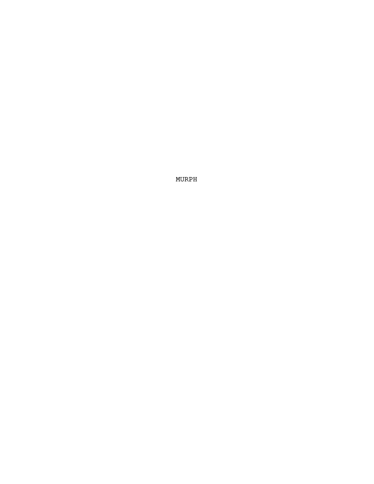MURPH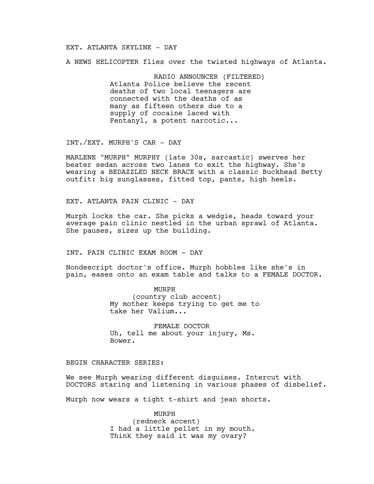## EXT. ATLANTA SKYLINE - DAY

A NEWS HELICOPTER flies over the twisted highways of Atlanta.

RADIO ANNOUNCER (FILTERED) Atlanta Police believe the recent deaths of two local teenagers are connected with the deaths of as many as fifteen others due to a supply of cocaine laced with Fentanyl, a potent narcotic...

INT./EXT. MURPH'S CAR - DAY

MARLENE "MURPH" MURPHY (late 30s, sarcastic) swerves her beater sedan across two lanes to exit the highway. She's wearing a BEDAZZLED NECK BRACE with a classic Buckhead Betty outfit: big sunglasses, fitted top, pants, high heels.

EXT. ATLANTA PAIN CLINIC - DAY

Murph locks the car. She picks a wedgie, heads toward your average pain clinic nestled in the urban sprawl of Atlanta. She pauses, sizes up the building.

INT. PAIN CLINIC EXAM ROOM - DAY

Nondescript doctor's office. Murph hobbles like she's in pain, eases onto an exam table and talks to a FEMALE DOCTOR.

> MURPH (country club accent) My mother keeps trying to get me to take her Valium...

FEMALE DOCTOR Uh, tell me about your injury, Ms. Bower.

## BEGIN CHARACTER SERIES:

We see Murph wearing different disguises. Intercut with DOCTORS staring and listening in various phases of disbelief.

Murph now wears a tight t-shirt and jean shorts.

MURPH (redneck accent) I had a little pellet in my mouth. Think they said it was my ovary?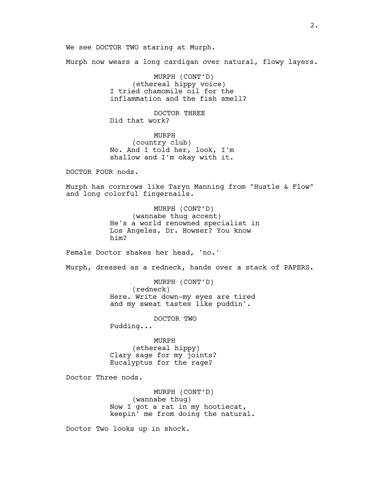We see DOCTOR TWO staring at Murph.

Murph now wears a long cardigan over natural, flowy layers.

MURPH (CONT'D) (ethereal hippy voice) I tried chamomile oil for the inflammation and the fish smell?

DOCTOR THREE Did that work?

MURPH (country club) No. And I told her, look, I'm shallow and I'm okay with it.

DOCTOR FOUR nods.

Murph has cornrows like Taryn Manning from "Hustle & Flow" and long colorful fingernails.

> MURPH (CONT'D) (wannabe thug accent) He's a world renowned specialist in Los Angeles, Dr. Howser? You know him?

Female Doctor shakes her head, 'no.'

Murph, dressed as a redneck, hands over a stack of PAPERS.

MURPH (CONT'D) (redneck) Here. Write down-my eyes are tired and my sweat tastes like puddin'.

DOCTOR TWO

Pudding...

MURPH (ethereal hippy) Clary sage for my joints? Eucalyptus for the rage?

Doctor Three nods.

MURPH (CONT'D) (wannabe thug) Now I got a rat in my hootiecat, keepin' me from doing the natural.

Doctor Two looks up in shock.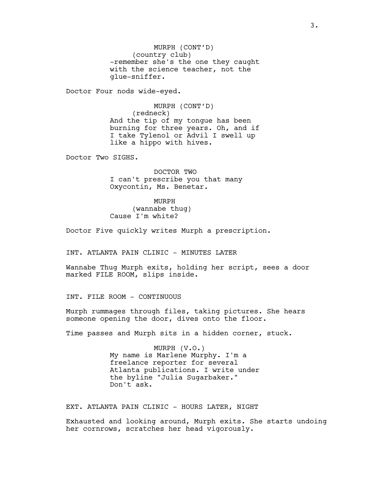MURPH (CONT'D) (country club) -remember she's the one they caught with the science teacher, not the glue-sniffer.

Doctor Four nods wide-eyed.

MURPH (CONT'D) (redneck) And the tip of my tongue has been burning for three years. Oh, and if I take Tylenol or Advil I swell up like a hippo with hives.

Doctor Two SIGHS.

DOCTOR TWO I can't prescribe you that many Oxycontin, Ms. Benetar.

MURPH (wannabe thug) Cause I'm white?

Doctor Five quickly writes Murph a prescription.

INT. ATLANTA PAIN CLINIC - MINUTES LATER

Wannabe Thug Murph exits, holding her script, sees a door marked FILE ROOM, slips inside.

INT. FILE ROOM - CONTINUOUS

Murph rummages through files, taking pictures. She hears someone opening the door, dives onto the floor.

Time passes and Murph sits in a hidden corner, stuck.

MURPH (V.O.) My name is Marlene Murphy. I'm a freelance reporter for several Atlanta publications. I write under the byline "Julia Sugarbaker." Don't ask.

EXT. ATLANTA PAIN CLINIC - HOURS LATER, NIGHT

Exhausted and looking around, Murph exits. She starts undoing her cornrows, scratches her head vigorously.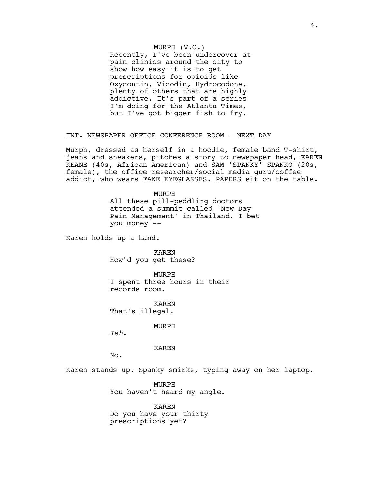## MURPH (V.O.)

Recently, I've been undercover at pain clinics around the city to show how easy it is to get prescriptions for opioids like Oxycontin, Vicodin, Hydrocodone, plenty of others that are highly addictive. It's part of a series I'm doing for the Atlanta Times, but I've got bigger fish to fry.

INT. NEWSPAPER OFFICE CONFERENCE ROOM - NEXT DAY

Murph, dressed as herself in a hoodie, female band T-shirt, jeans and sneakers, pitches a story to newspaper head, KAREN KEANE (40s, African American) and SAM 'SPANKY' SPANKO (20s, female), the office researcher/social media guru/coffee addict, who wears FAKE EYEGLASSES. PAPERS sit on the table.

> MURPH All these pill-peddling doctors attended a summit called 'New Day Pain Management' in Thailand. I bet you money --

Karen holds up a hand.

KAREN How'd you get these?

MURPH I spent three hours in their records room.

KAREN That's illegal.

MURPH

*Ish.*

KAREN

No.

Karen stands up. Spanky smirks, typing away on her laptop.

MURPH You haven't heard my angle.

KAREN Do you have your thirty prescriptions yet?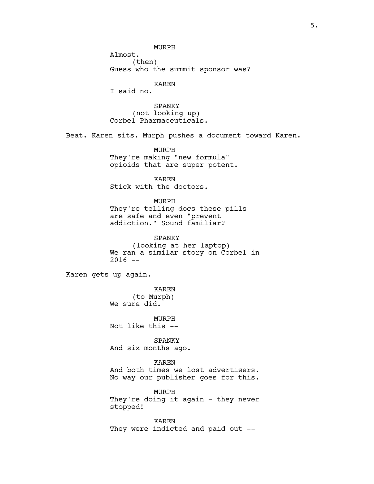MURPH

Almost. (then) Guess who the summit sponsor was?

#### KAREN

I said no.

SPANKY (not looking up) Corbel Pharmaceuticals.

Beat. Karen sits. Murph pushes a document toward Karen.

MURPH They're making "new formula" opioids that are super potent.

KAREN Stick with the doctors.

MURPH They're telling docs these pills are safe and even "prevent addiction." Sound familiar?

SPANKY (looking at her laptop) We ran a similar story on Corbel in  $2016 - -$ 

Karen gets up again.

KAREN (to Murph) We sure did.

MURPH Not like this --

SPANKY And six months ago.

KAREN

And both times we lost advertisers. No way our publisher goes for this.

MURPH They're doing it again - they never stopped!

KAREN They were indicted and paid out --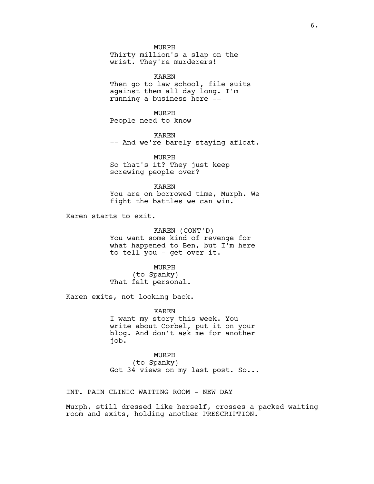MURPH Thirty million's a slap on the

wrist. They're murderers!

KAREN Then go to law school, file suits against them all day long. I'm running a business here --

MURPH People need to know --

KAREN -- And we're barely staying afloat.

MURPH So that's it? They just keep screwing people over?

KAREN You are on borrowed time, Murph. We fight the battles we can win.

Karen starts to exit.

KAREN (CONT'D) You want some kind of revenge for what happened to Ben, but I'm here to tell you - get over it.

MURPH (to Spanky) That felt personal.

Karen exits, not looking back.

KAREN I want my story this week. You write about Corbel, put it on your blog. And don't ask me for another job.

MURPH (to Spanky) Got 34 views on my last post. So...

INT. PAIN CLINIC WAITING ROOM - NEW DAY

Murph, still dressed like herself, crosses a packed waiting room and exits, holding another PRESCRIPTION.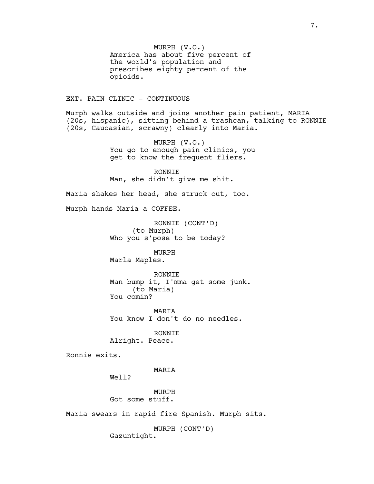MURPH (V.O.) America has about five percent of the world's population and prescribes eighty percent of the opioids.

#### EXT. PAIN CLINIC - CONTINUOUS

Murph walks outside and joins another pain patient, MARIA (20s, hispanic), sitting behind a trashcan, talking to RONNIE (20s, Caucasian, scrawny) clearly into Maria.

> MURPH (V.O.) You go to enough pain clinics, you get to know the frequent fliers.

RONNIE Man, she didn't give me shit.

Maria shakes her head, she struck out, too.

Murph hands Maria a COFFEE.

RONNIE (CONT'D) (to Murph) Who you s'pose to be today?

MURPH Marla Maples.

RONNIE Man bump it, I'mma get some junk. (to Maria) You comin?

MARIA You know I don't do no needles.

RONNIE Alright. Peace.

Ronnie exits.

MARIA

Well?

MURPH Got some stuff.

Maria swears in rapid fire Spanish. Murph sits.

MURPH (CONT'D) Gazuntight.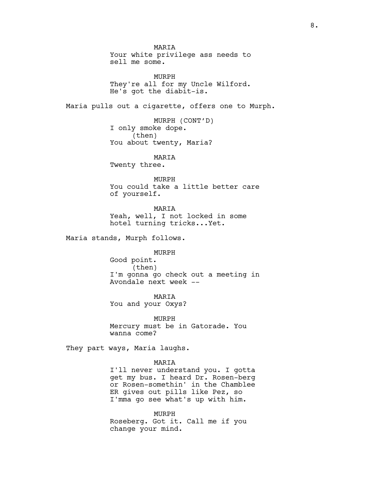**MARTA** Your white privilege ass needs to sell me some. MURPH They're all for my Uncle Wilford. He's got the diabit-is. Maria pulls out a cigarette, offers one to Murph. MURPH (CONT'D) I only smoke dope. (then) You about twenty, Maria? MARIA Twenty three. MURPH You could take a little better care of yourself. MARIA Yeah, well, I not locked in some hotel turning tricks...Yet. Maria stands, Murph follows. MURPH Good point. (then) I'm gonna go check out a meeting in Avondale next week -- MARIA You and your Oxys? MURPH Mercury must be in Gatorade. You wanna come? They part ways, Maria laughs. MARIA I'll never understand you. I gotta get my bus. I heard Dr. Rosen-berg or Rosen-somethin' in the Chamblee ER gives out pills like Pez, so I'mma go see what's up with him.

> MURPH Roseberg. Got it. Call me if you change your mind.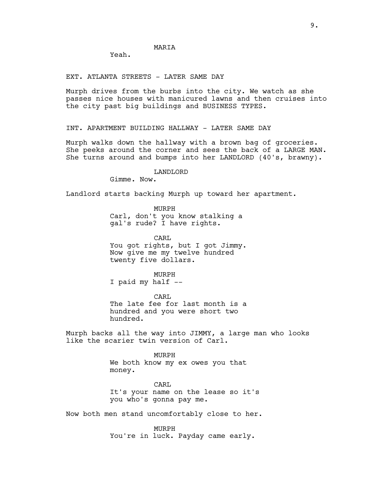## **MARTA**

Yeah.

EXT. ATLANTA STREETS - LATER SAME DAY

Murph drives from the burbs into the city. We watch as she passes nice houses with manicured lawns and then cruises into the city past big buildings and BUSINESS TYPES.

INT. APARTMENT BUILDING HALLWAY - LATER SAME DAY

Murph walks down the hallway with a brown bag of groceries. She peeks around the corner and sees the back of a LARGE MAN. She turns around and bumps into her LANDLORD (40's, brawny).

LANDLORD

Gimme. Now.

Landlord starts backing Murph up toward her apartment.

MURPH Carl, don't you know stalking a gal's rude? I have rights.

CARL You got rights, but I got Jimmy. Now give me my twelve hundred twenty five dollars.

MURPH

I paid my half --

CARL The late fee for last month is a hundred and you were short two hundred.

Murph backs all the way into JIMMY, a large man who looks like the scarier twin version of Carl.

> MURPH We both know my ex owes you that money.

CARL It's your name on the lease so it's you who's gonna pay me.

Now both men stand uncomfortably close to her.

MURPH You're in luck. Payday came early.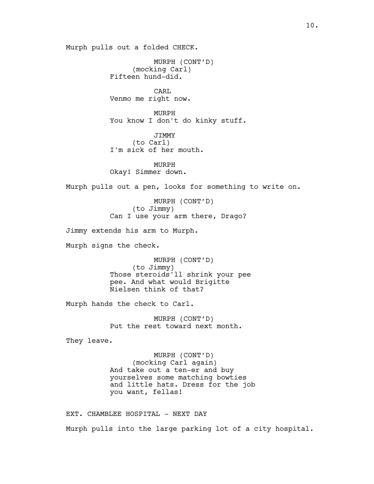Murph pulls out a folded CHECK.

MURPH (CONT'D) (mocking Carl) Fifteen hund-did. CARL Venmo me right now. MURPH You know I don't do kinky stuff. JIMMY (to Carl) I'm sick of her mouth. MURPH Okay! Simmer down. Murph pulls out a pen, looks for something to write on. MURPH (CONT'D) (to Jimmy) Can I use your arm there, Drago? Jimmy extends his arm to Murph. Murph signs the check. MURPH (CONT'D) (to Jimmy) Those steroids'll shrink your pee pee. And what would Brigitte Nielsen think of that? Murph hands the check to Carl. MURPH (CONT'D) Put the rest toward next month. They leave. MURPH (CONT'D) (mocking Carl again) And take out a ten-er and buy yourselves some matching bowties and little hats. Dress for the job you want, fellas! EXT. CHAMBLEE HOSPITAL - NEXT DAY

Murph pulls into the large parking lot of a city hospital.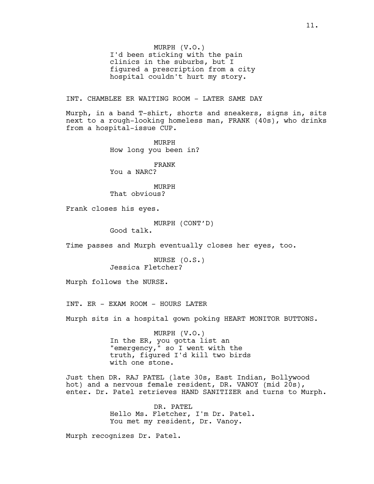MURPH (V.O.) I'd been sticking with the pain clinics in the suburbs, but I figured a prescription from a city hospital couldn't hurt my story.

INT. CHAMBLEE ER WAITING ROOM - LATER SAME DAY

Murph, in a band T-shirt, shorts and sneakers, signs in, sits next to a rough-looking homeless man, FRANK (40s), who drinks from a hospital-issue CUP.

> MURPH How long you been in?

FRANK You a NARC?

MURPH That obvious?

Frank closes his eyes.

MURPH (CONT'D)

Good talk.

Time passes and Murph eventually closes her eyes, too.

NURSE (O.S.) Jessica Fletcher?

Murph follows the NURSE.

INT. ER - EXAM ROOM - HOURS LATER

Murph sits in a hospital gown poking HEART MONITOR BUTTONS.

MURPH (V.O.) In the ER, you gotta list an "emergency," so I went with the truth, figured I'd kill two birds with one stone.

Just then DR. RAJ PATEL (late 30s, East Indian, Bollywood hot) and a nervous female resident, DR. VANOY (mid 20s), enter. Dr. Patel retrieves HAND SANITIZER and turns to Murph.

> DR. PATEL Hello Ms. Fletcher, I'm Dr. Patel. You met my resident, Dr. Vanoy.

Murph recognizes Dr. Patel.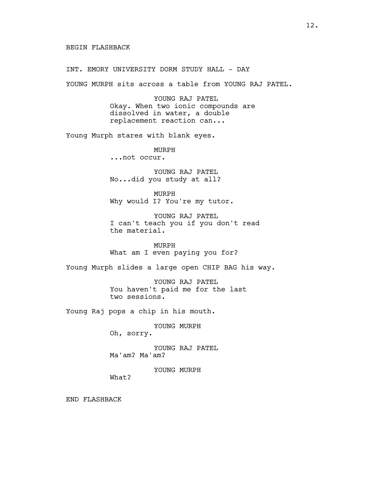INT. EMORY UNIVERSITY DORM STUDY HALL - DAY

YOUNG MURPH sits across a table from YOUNG RAJ PATEL.

YOUNG RAJ PATEL Okay. When two ionic compounds are dissolved in water, a double replacement reaction can...

Young Murph stares with blank eyes.

MURPH ...not occur.

YOUNG RAJ PATEL No...did you study at all?

MURPH Why would I? You're my tutor.

YOUNG RAJ PATEL I can't teach you if you don't read the material.

MURPH What am I even paying you for?

Young Murph slides a large open CHIP BAG his way.

YOUNG RAJ PATEL You haven't paid me for the last two sessions.

Young Raj pops a chip in his mouth.

YOUNG MURPH

Oh, sorry.

YOUNG RAJ PATEL Ma'am? Ma'am?

YOUNG MURPH

What?

END FLASHBACK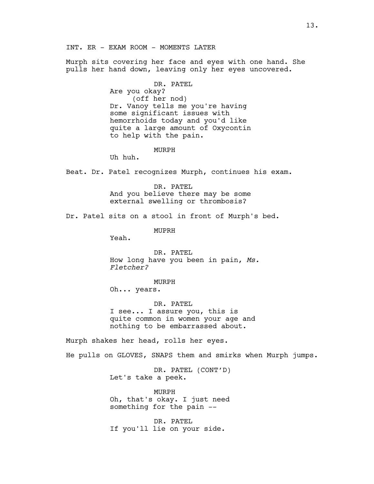Murph sits covering her face and eyes with one hand. She pulls her hand down, leaving only her eyes uncovered.

DR. PATEL

Are you okay? (off her nod) Dr. Vanoy tells me you're having some significant issues with hemorrhoids today and you'd like quite a large amount of Oxycontin to help with the pain.

MURPH

Uh huh.

Beat. Dr. Patel recognizes Murph, continues his exam.

DR. PATEL And you believe there may be some external swelling or thrombosis?

Dr. Patel sits on a stool in front of Murph's bed.

MUPRH

Yeah.

DR. PATEL How long have you been in pain, *Ms. Fletcher?*

MURPH Oh... years.

DR. PATEL I see... I assure you, this is quite common in women your age and nothing to be embarrassed about.

Murph shakes her head, rolls her eyes.

He pulls on GLOVES, SNAPS them and smirks when Murph jumps.

DR. PATEL (CONT'D) Let's take a peek.

MURPH Oh, that's okay. I just need something for the pain --

DR. PATEL If you'll lie on your side.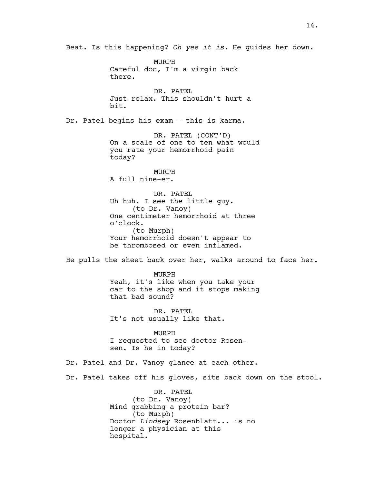Beat. Is this happening? *Oh yes it is.* He guides her down. MURPH Careful doc, I'm a virgin back there. DR. PATEL Just relax. This shouldn't hurt a bit. Dr. Patel begins his exam - this is karma. DR. PATEL (CONT'D) On a scale of one to ten what would you rate your hemorrhoid pain today? MURPH A full nine-er. DR. PATEL Uh huh. I see the little guy. (to Dr. Vanoy) One centimeter hemorrhoid at three o'clock. (to Murph) Your hemorrhoid doesn't appear to be thrombosed or even inflamed. He pulls the sheet back over her, walks around to face her. MURPH Yeah, it's like when you take your car to the shop and it stops making that bad sound? DR. PATEL It's not usually like that. MURPH I requested to see doctor Rosensen. Is he in today? Dr. Patel and Dr. Vanoy glance at each other. Dr. Patel takes off his gloves, sits back down on the stool. DR. PATEL (to Dr. Vanoy) Mind grabbing a protein bar? (to Murph) Doctor *Lindsey* Rosenblatt... is no longer a physician at this hospital.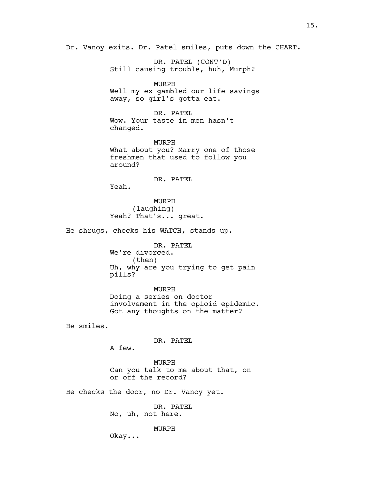Dr. Vanoy exits. Dr. Patel smiles, puts down the CHART.

DR. PATEL (CONT'D) Still causing trouble, huh, Murph?

MURPH Well my ex gambled our life savings away, so girl's gotta eat.

DR. PATEL Wow. Your taste in men hasn't changed.

MURPH What about you? Marry one of those freshmen that used to follow you around?

DR. PATEL

Yeah.

MURPH (laughing) Yeah? That's... great.

He shrugs, checks his WATCH, stands up.

DR. PATEL We're divorced. (then) Uh, why are you trying to get pain pills?

MURPH Doing a series on doctor involvement in the opioid epidemic. Got any thoughts on the matter?

He smiles.

DR. PATEL

A few.

MURPH Can you talk to me about that, on or off the record?

He checks the door, no Dr. Vanoy yet.

DR. PATEL No, uh, not here.

MURPH

Okay...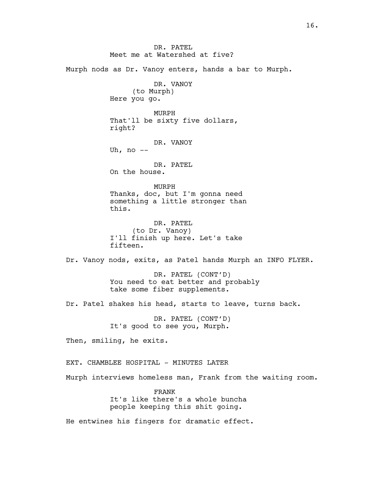DR. PATEL Meet me at Watershed at five? Murph nods as Dr. Vanoy enters, hands a bar to Murph. DR. VANOY (to Murph) Here you go. MURPH That'll be sixty five dollars, right? DR. VANOY Uh, no  $--$ DR. PATEL On the house. MURPH Thanks, doc, but I'm gonna need something a little stronger than this. DR. PATEL (to Dr. Vanoy) I'll finish up here. Let's take fifteen. Dr. Vanoy nods, exits, as Patel hands Murph an INFO FLYER. DR. PATEL (CONT'D) You need to eat better and probably take some fiber supplements. Dr. Patel shakes his head, starts to leave, turns back. DR. PATEL (CONT'D) It's good to see you, Murph. Then, smiling, he exits. EXT. CHAMBLEE HOSPITAL - MINUTES LATER Murph interviews homeless man, Frank from the waiting room. FRANK It's like there's a whole buncha people keeping this shit going. He entwines his fingers for dramatic effect.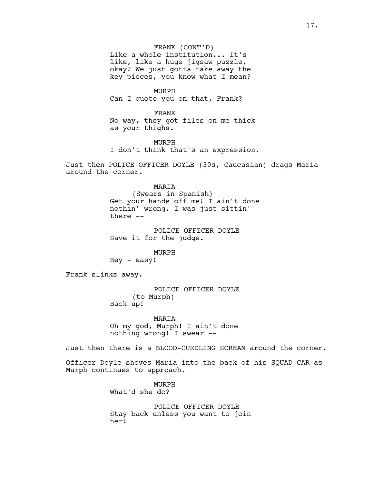FRANK (CONT'D) Like a whole institution... It's like, like a huge jigsaw puzzle, okay? We just gotta take away the key pieces, you know what I mean?

MURPH Can I quote you on that, Frank?

FRANK No way, they got files on me thick as your thighs.

MURPH I don't think that's an expression.

Just then POLICE OFFICER DOYLE (30s, Caucasian) drags Maria around the corner.

> MARIA (Swears in Spanish) Get your hands off me! I ain't done nothin' wrong. I was just sittin' there --

POLICE OFFICER DOYLE Save it for the judge.

MURPH

Hey - easy!

Frank slinks away.

POLICE OFFICER DOYLE (to Murph) Back up!

MARIA Oh my god, Murph! I ain't done nothing wrong! I swear --

Just then there is a BLOOD-CURDLING SCREAM around the corner.

Officer Doyle shoves Maria into the back of his SQUAD CAR as Murph continues to approach.

> MURPH What'd she do?

POLICE OFFICER DOYLE Stay back unless you want to join her!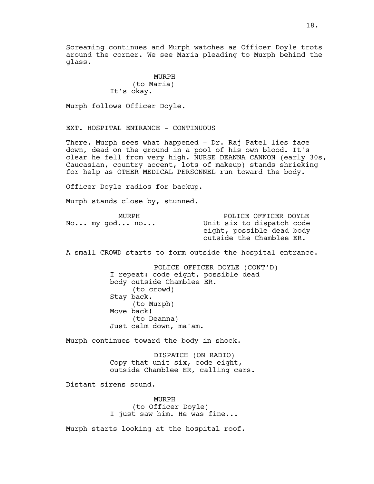Screaming continues and Murph watches as Officer Doyle trots around the corner. We see Maria pleading to Murph behind the glass.

## MURPH (to Maria) It's okay.

Murph follows Officer Doyle.

EXT. HOSPITAL ENTRANCE - CONTINUOUS

There, Murph sees what happened - Dr. Raj Patel lies face down, dead on the ground in a pool of his own blood. It's clear he fell from very high. NURSE DEANNA CANNON (early 30s, Caucasian, country accent, lots of makeup) stands shrieking for help as OTHER MEDICAL PERSONNEL run toward the body.

Officer Doyle radios for backup.

Murph stands close by, stunned.

| MURPH          | POLICE OFFICER DOYLE      |
|----------------|---------------------------|
| $No$ my god no | Unit six to dispatch code |
|                | eight, possible dead body |
|                | outside the Chamblee ER.  |

A small CROWD starts to form outside the hospital entrance.

POLICE OFFICER DOYLE (CONT'D) I repeat: code eight, possible dead body outside Chamblee ER. (to crowd) Stay back. (to Murph) Move back! (to Deanna) Just calm down, ma'am.

Murph continues toward the body in shock.

DISPATCH (ON RADIO) Copy that unit six, code eight, outside Chamblee ER, calling cars.

Distant sirens sound.

MURPH (to Officer Doyle) I just saw him. He was fine...

Murph starts looking at the hospital roof.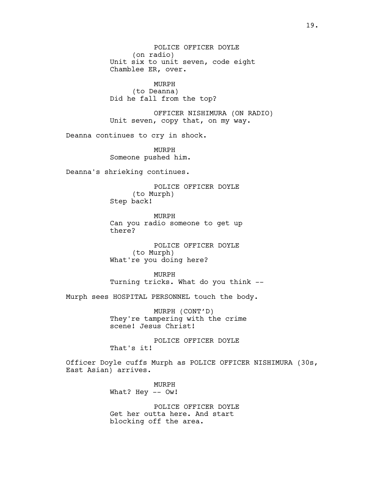POLICE OFFICER DOYLE (on radio) Unit six to unit seven, code eight Chamblee ER, over.

MURPH (to Deanna) Did he fall from the top?

OFFICER NISHIMURA (ON RADIO) Unit seven, copy that, on my way.

Deanna continues to cry in shock.

MURPH Someone pushed him.

Deanna's shrieking continues.

POLICE OFFICER DOYLE (to Murph) Step back!

MURPH Can you radio someone to get up there?

POLICE OFFICER DOYLE (to Murph) What're you doing here?

MURPH Turning tricks. What do you think --

Murph sees HOSPITAL PERSONNEL touch the body.

MURPH (CONT'D) They're tampering with the crime scene! Jesus Christ!

POLICE OFFICER DOYLE That's it!

Officer Doyle cuffs Murph as POLICE OFFICER NISHIMURA (30s, East Asian) arrives.

> MURPH What? Hey -- Ow!

POLICE OFFICER DOYLE Get her outta here. And start blocking off the area.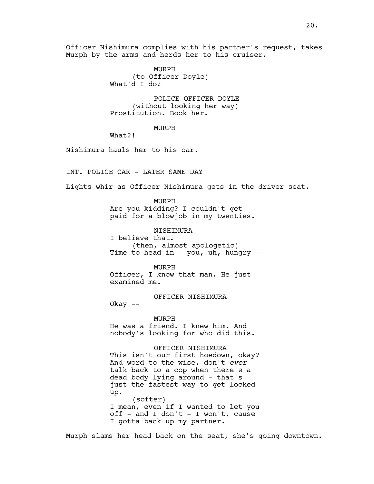Officer Nishimura complies with his partner's request, takes Murph by the arms and herds her to his cruiser.

> MURPH (to Officer Doyle) What'd I do?

POLICE OFFICER DOYLE (without looking her way) Prostitution. Book her.

MURPH

What?!

Okay --

Nishimura hauls her to his car.

INT. POLICE CAR - LATER SAME DAY

Lights whir as Officer Nishimura gets in the driver seat.

MURPH Are you kidding? I couldn't get paid for a blowjob in my twenties.

NISHIMURA I believe that. (then, almost apologetic) Time to head in - you, uh, hungry  $-$ 

MURPH Officer, I know that man. He just examined me.

OFFICER NISHIMURA

MURPH He was a friend. I knew him. And nobody's looking for who did this.

OFFICER NISHIMURA This isn't our first hoedown, okay? And word to the wise, don't *ever* talk back to a cop when there's a dead body lying around - that's just the fastest way to get locked up. (softer) I mean, even if I wanted to let you off - and I don't - I won't, cause I gotta back up my partner.

Murph slams her head back on the seat, she's going downtown.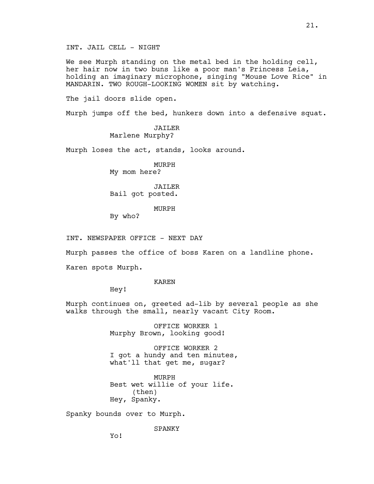INT. JAIL CELL - NIGHT

We see Murph standing on the metal bed in the holding cell, her hair now in two buns like a poor man's Princess Leia, holding an imaginary microphone, singing "Mouse Love Rice" in MANDARIN. TWO ROUGH-LOOKING WOMEN sit by watching.

The jail doors slide open.

Murph jumps off the bed, hunkers down into a defensive squat.

JAILER Marlene Murphy?

Murph loses the act, stands, looks around.

MURPH My mom here?

JAILER Bail got posted.

MURPH

By who?

INT. NEWSPAPER OFFICE - NEXT DAY

Murph passes the office of boss Karen on a landline phone.

Karen spots Murph.

KAREN

Hey!

Murph continues on, greeted ad-lib by several people as she walks through the small, nearly vacant City Room.

> OFFICE WORKER 1 Murphy Brown, looking good!

OFFICE WORKER 2 I got a hundy and ten minutes, what'll that get me, sugar?

MURPH Best wet willie of your life. (then) Hey, Spanky.

Spanky bounds over to Murph.

SPANKY

21.

Yo!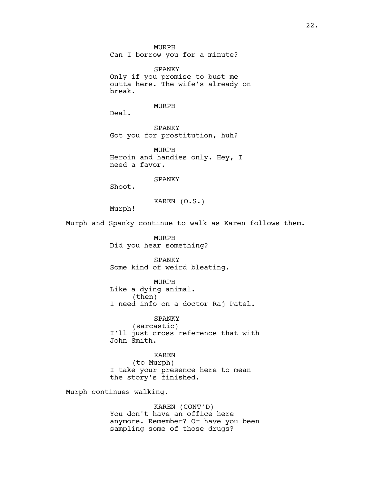MURPH Can I borrow you for a minute?

SPANKY Only if you promise to bust me outta here. The wife's already on break.

#### MURPH

Deal.

SPANKY Got you for prostitution, huh?

MURPH Heroin and handies only. Hey, I need a favor.

#### SPANKY

Shoot.

KAREN (O.S.)

Murph!

Murph and Spanky continue to walk as Karen follows them.

MURPH Did you hear something?

SPANKY Some kind of weird bleating.

MURPH Like a dying animal. (then) I need info on a doctor Raj Patel.

SPANKY (sarcastic) I'll just cross reference that with John Smith.

KAREN (to Murph) I take your presence here to mean the story's finished.

Murph continues walking.

KAREN (CONT'D) You don't have an office here anymore. Remember? Or have you been sampling some of those drugs?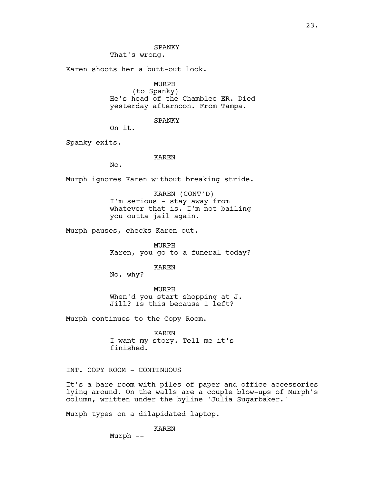That's wrong.

Karen shoots her a butt-out look.

# MURPH

(to Spanky) He's head of the Chamblee ER. Died yesterday afternoon. From Tampa.

SPANKY

On it.

Spanky exits.

#### KAREN

No.

Murph ignores Karen without breaking stride.

KAREN (CONT'D) I'm serious - stay away from whatever that is. I'm not bailing you outta jail again.

Murph pauses, checks Karen out.

MURPH Karen, you go to a funeral today?

KAREN

No, why?

MURPH When'd you start shopping at J. Jill? Is this because I left?

Murph continues to the Copy Room.

KAREN I want my story. Tell me it's finished.

INT. COPY ROOM - CONTINUOUS

It's a bare room with piles of paper and office accessories lying around. On the walls are a couple blow-ups of Murph's column, written under the byline 'Julia Sugarbaker.'

Murph types on a dilapidated laptop.

KAREN

Murph --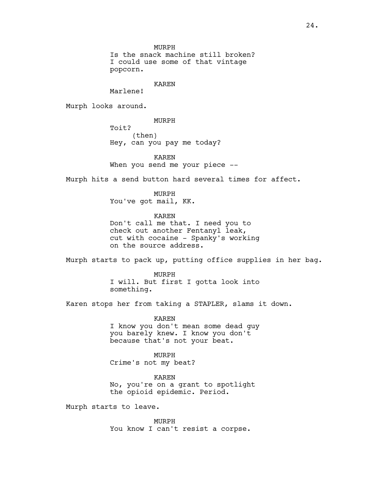MURPH

Is the snack machine still broken? I could use some of that vintage popcorn.

### KAREN

Marlene!

Murph looks around.

MURPH

Toit? (then) Hey, can you pay me today?

KAREN When you send me your piece --

Murph hits a send button hard several times for affect.

MURPH You've got mail, KK.

KAREN Don't call me that. I need you to check out another Fentanyl leak, cut with cocaine - Spanky's working on the source address.

Murph starts to pack up, putting office supplies in her bag.

MURPH I will. But first I gotta look into something.

Karen stops her from taking a STAPLER, slams it down.

KAREN I know you don't mean some dead guy you barely knew. I know you don't because that's not your beat.

MURPH Crime's not my beat?

KAREN No, you're on a grant to spotlight the opioid epidemic. Period.

Murph starts to leave.

MURPH You know I can't resist a corpse.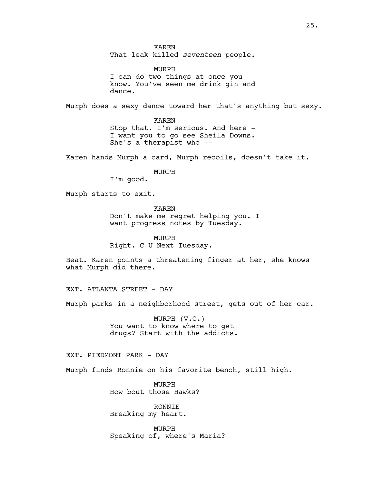KAREN That leak killed *seventeen* people.

MURPH I can do two things at once you know. You've seen me drink gin and dance.

Murph does a sexy dance toward her that's anything but sexy.

KAREN Stop that. I'm serious. And here - I want you to go see Sheila Downs. She's a therapist who --

Karen hands Murph a card, Murph recoils, doesn't take it.

MURPH

I'm good.

Murph starts to exit.

KAREN Don't make me regret helping you. I want progress notes by Tuesday.

MURPH Right. C U Next Tuesday.

Beat. Karen points a threatening finger at her, she knows what Murph did there.

EXT. ATLANTA STREET - DAY

Murph parks in a neighborhood street, gets out of her car.

MURPH (V.O.) You want to know where to get drugs? Start with the addicts.

EXT. PIEDMONT PARK - DAY

Murph finds Ronnie on his favorite bench, still high.

MURPH How bout those Hawks?

RONNIE Breaking my heart.

MURPH Speaking of, where's Maria?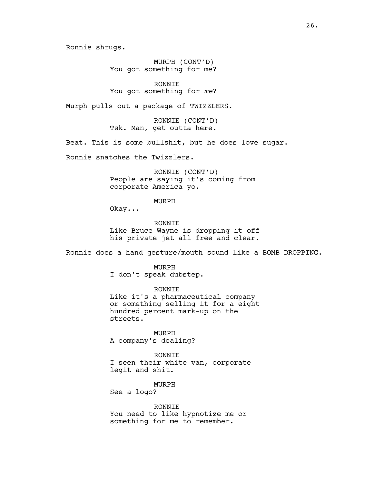Ronnie shrugs.

MURPH (CONT'D) You got something for me?

RONNIE You got something for *me*?

Murph pulls out a package of TWIZZLERS.

RONNIE (CONT'D) Tsk. Man, get outta here.

Beat. This is some bullshit, but he does love sugar.

Ronnie snatches the Twizzlers.

RONNIE (CONT'D) People are saying it's coming from corporate America yo.

MURPH

Okay...

RONNIE Like Bruce Wayne is dropping it off his private jet all free and clear.

Ronnie does a hand gesture/mouth sound like a BOMB DROPPING.

MURPH

I don't speak dubstep.

RONNIE

Like it's a pharmaceutical company or something selling it for a eight hundred percent mark-up on the streets.

MURPH A company's dealing?

RONNIE I seen their white van, corporate legit and shit.

MURPH See a logo?

RONNIE You need to like hypnotize me or something for me to remember.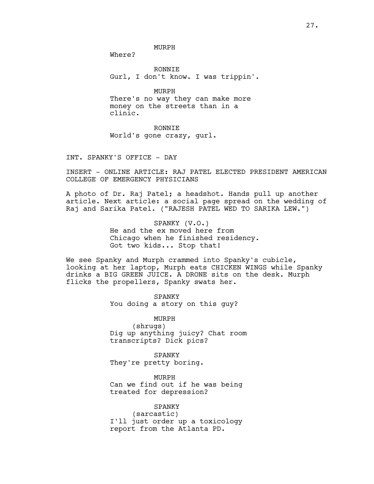MURPH

Where?

RONNIE Gurl, I don't know. I was trippin'.

MURPH

There's no way they can make more money on the streets than in a clinic.

RONNIE

World's gone crazy, gurl.

INT. SPANKY'S OFFICE - DAY

INSERT - ONLINE ARTICLE: RAJ PATEL ELECTED PRESIDENT AMERICAN COLLEGE OF EMERGENCY PHYSICIANS

A photo of Dr. Raj Patel; a headshot. Hands pull up another article. Next article: a social page spread on the wedding of Raj and Sarika Patel. ("RAJESH PATEL WED TO SARIKA LEW.")

> SPANKY (V.O.) He and the ex moved here from Chicago when he finished residency. Got two kids... Stop that!

We see Spanky and Murph crammed into Spanky's cubicle, looking at her laptop, Murph eats CHICKEN WINGS while Spanky drinks a BIG GREEN JUICE. A DRONE sits on the desk. Murph flicks the propellers, Spanky swats her.

> SPANKY You doing a story on this guy?

MURPH (shrugs) Dig up anything juicy? Chat room transcripts? Dick pics?

SPANKY They're pretty boring.

MURPH Can we find out if he was being treated for depression?

SPANKY (sarcastic) I'll just order up a toxicology report from the Atlanta PD.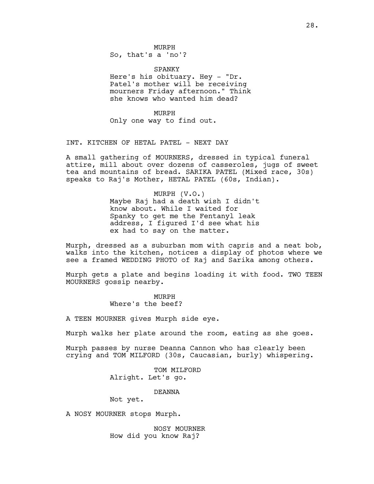MURPH So, that's a 'no'?

SPANKY Here's his obituary. Hey - "Dr. Patel's mother will be receiving mourners Friday afternoon." Think she knows who wanted him dead?

MURPH Only one way to find out.

INT. KITCHEN OF HETAL PATEL - NEXT DAY

A small gathering of MOURNERS, dressed in typical funeral attire, mill about over dozens of casseroles, jugs of sweet tea and mountains of bread. SARIKA PATEL (Mixed race, 30s) speaks to Raj's Mother, HETAL PATEL (60s, Indian).

> MURPH (V.O.) Maybe Raj had a death wish I didn't know about. While I waited for Spanky to get me the Fentanyl leak address, I figured I'd see what his ex had to say on the matter.

Murph, dressed as a suburban mom with capris and a neat bob, walks into the kitchen, notices a display of photos where we see a framed WEDDING PHOTO of Raj and Sarika among others.

Murph gets a plate and begins loading it with food. TWO TEEN MOURNERS gossip nearby.

> MURPH Where's the beef?

A TEEN MOURNER gives Murph side eye.

Murph walks her plate around the room, eating as she goes.

Murph passes by nurse Deanna Cannon who has clearly been crying and TOM MILFORD (30s, Caucasian, burly) whispering.

> TOM MILFORD Alright. Let's go.

> > DEANNA

Not yet.

A NOSY MOURNER stops Murph.

NOSY MOURNER How did you know Raj?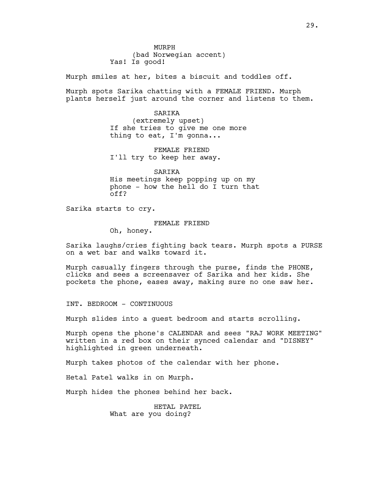MURPH (bad Norwegian accent) Yas! Is good!

Murph smiles at her, bites a biscuit and toddles off.

Murph spots Sarika chatting with a FEMALE FRIEND. Murph plants herself just around the corner and listens to them.

> SARIKA (extremely upset) If she tries to give me one more thing to eat, I'm gonna...

FEMALE FRIEND I'll try to keep her away.

SARIKA His meetings keep popping up on my phone - how the hell do I turn that off?

Sarika starts to cry.

FEMALE FRIEND

Oh, honey.

Sarika laughs/cries fighting back tears. Murph spots a PURSE on a wet bar and walks toward it.

Murph casually fingers through the purse, finds the PHONE, clicks and sees a screensaver of Sarika and her kids. She pockets the phone, eases away, making sure no one saw her.

INT. BEDROOM - CONTINUOUS

Murph slides into a guest bedroom and starts scrolling.

Murph opens the phone's CALENDAR and sees "RAJ WORK MEETING" written in a red box on their synced calendar and "DISNEY" highlighted in green underneath.

Murph takes photos of the calendar with her phone.

Hetal Patel walks in on Murph.

Murph hides the phones behind her back.

HETAL PATEL What are you doing?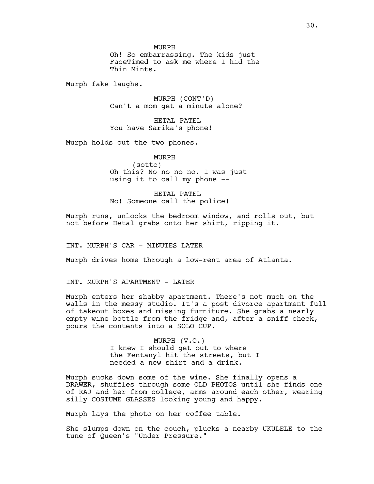MURPH

Oh! So embarrassing. The kids just FaceTimed to ask me where I hid the Thin Mints.

Murph fake laughs.

MURPH (CONT'D) Can't a mom get a minute alone?

HETAL PATEL You have Sarika's phone!

Murph holds out the two phones.

MURPH (sotto) Oh this? No no no no. I was just using it to call my phone --

HETAL PATEL No! Someone call the police!

Murph runs, unlocks the bedroom window, and rolls out, but not before Hetal grabs onto her shirt, ripping it.

INT. MURPH'S CAR - MINUTES LATER

Murph drives home through a low-rent area of Atlanta.

INT. MURPH'S APARTMENT - LATER

Murph enters her shabby apartment. There's not much on the walls in the messy studio. It's a post divorce apartment full of takeout boxes and missing furniture. She grabs a nearly empty wine bottle from the fridge and, after a sniff check, pours the contents into a SOLO CUP.

> MURPH (V.O.) I knew I should get out to where the Fentanyl hit the streets, but I needed a new shirt and a drink.

Murph sucks down some of the wine. She finally opens a DRAWER, shuffles through some OLD PHOTOS until she finds one of RAJ and her from college, arms around each other, wearing silly COSTUME GLASSES looking young and happy.

Murph lays the photo on her coffee table.

She slumps down on the couch, plucks a nearby UKULELE to the tune of Queen's "Under Pressure."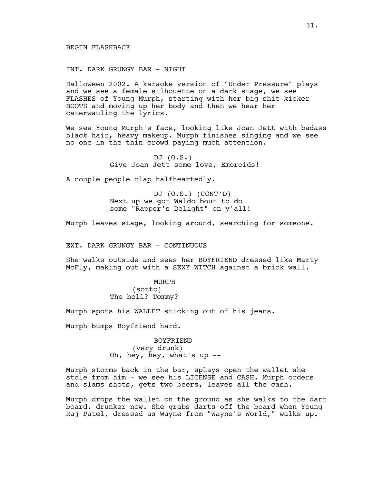BEGIN FLASHBACK

INT. DARK GRUNGY BAR - NIGHT

Halloween 2002. A karaoke version of "Under Pressure" plays and we see a female silhouette on a dark stage, we see FLASHES of Young Murph, starting with her big shit-kicker BOOTS and moving up her body and then we hear her caterwauling the lyrics.

We see Young Murph's face, looking like Joan Jett with badass black hair, heavy makeup. Murph finishes singing and we see no one in the thin crowd paying much attention.

> DJ (O.S.) Give Joan Jett some love, Emoroids!

A couple people clap halfheartedly.

DJ (O.S.) (CONT'D) Next up we got Waldo bout to do some "Rapper's Delight" on y'all!

Murph leaves stage, looking around, searching for someone.

EXT. DARK GRUNGY BAR - CONTINUOUS

She walks outside and sees her BOYFRIEND dressed like Marty McFly, making out with a SEXY WITCH against a brick wall.

> MURPH (sotto) The hell? Tommy?

Murph spots his WALLET sticking out of his jeans.

Murph bumps Boyfriend hard.

BOYFRIEND (very drunk) Oh, hey, hey, what's up --

Murph storms back in the bar, splays open the wallet she stole from him - we see his LICENSE and CASH. Murph orders and slams shots, gets two beers, leaves all the cash.

Murph drops the wallet on the ground as she walks to the dart board, drunker now. She grabs darts off the board when Young Raj Patel, dressed as Wayne from "Wayne's World," walks up.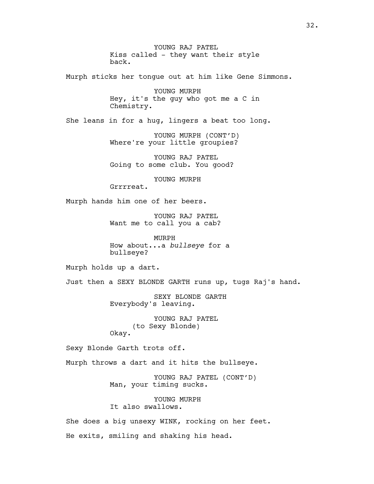YOUNG RAJ PATEL Kiss called - they want their style back.

Murph sticks her tongue out at him like Gene Simmons.

YOUNG MURPH Hey, it's the guy who got me a C in Chemistry.

She leans in for a hug, lingers a beat too long.

YOUNG MURPH (CONT'D) Where're your little groupies?

YOUNG RAJ PATEL Going to some club. You good?

YOUNG MURPH

Grrrreat.

Murph hands him one of her beers.

YOUNG RAJ PATEL Want me to call you a cab?

MURPH How about...a *bullseye* for a bullseye?

Murph holds up a dart.

Just then a SEXY BLONDE GARTH runs up, tugs Raj's hand.

SEXY BLONDE GARTH Everybody's leaving.

YOUNG RAJ PATEL (to Sexy Blonde) Okay.

Sexy Blonde Garth trots off.

Murph throws a dart and it hits the bullseye.

YOUNG RAJ PATEL (CONT'D) Man, your timing sucks.

YOUNG MURPH It also swallows.

She does a big unsexy WINK, rocking on her feet. He exits, smiling and shaking his head.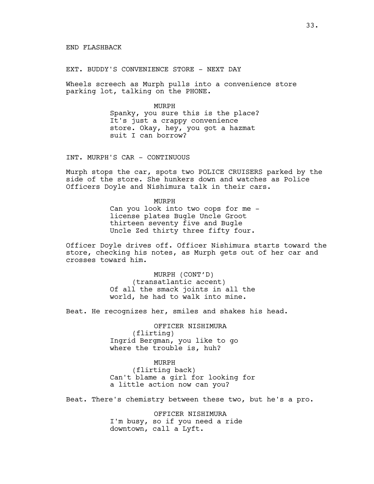EXT. BUDDY'S CONVENIENCE STORE - NEXT DAY

Wheels screech as Murph pulls into a convenience store parking lot, talking on the PHONE.

> MURPH Spanky, you sure this is the place? It's just a crappy convenience store. Okay, hey, you got a hazmat suit I can borrow?

INT. MURPH'S CAR - CONTINUOUS

Murph stops the car, spots two POLICE CRUISERS parked by the side of the store. She hunkers down and watches as Police Officers Doyle and Nishimura talk in their cars.

> MURPH Can you look into two cops for me license plates Bugle Uncle Groot thirteen seventy five and Bugle Uncle Zed thirty three fifty four.

Officer Doyle drives off. Officer Nishimura starts toward the store, checking his notes, as Murph gets out of her car and crosses toward him.

> MURPH (CONT'D) (transatlantic accent) Of all the smack joints in all the world, he had to walk into mine.

Beat. He recognizes her, smiles and shakes his head.

OFFICER NISHIMURA (flirting) Ingrid Bergman, you like to go where the trouble is, huh?

MURPH (flirting back) Can't blame a girl for looking for a little action now can you?

Beat. There's chemistry between these two, but he's a pro.

OFFICER NISHIMURA I'm busy, so if you need a ride downtown, call a Lyft.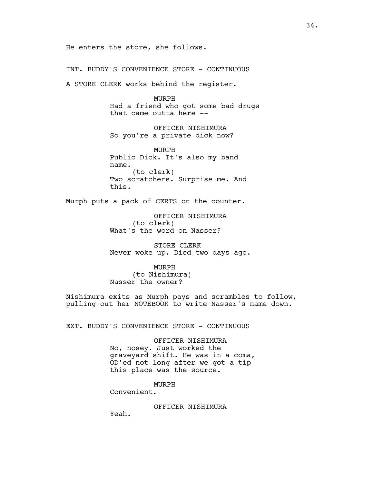He enters the store, she follows.

INT. BUDDY'S CONVENIENCE STORE - CONTINUOUS

A STORE CLERK works behind the register.

MURPH Had a friend who got some bad drugs that came outta here --

OFFICER NISHIMURA So you're a private dick now?

MURPH Public Dick. It's also my band name. (to clerk) Two scratchers. Surprise me. And this.

Murph puts a pack of CERTS on the counter.

OFFICER NISHIMURA (to clerk) What's the word on Nasser?

STORE CLERK Never woke up. Died two days ago.

MURPH (to Nishimura) Nasser the owner?

Nishimura exits as Murph pays and scrambles to follow, pulling out her NOTEBOOK to write Nasser's name down.

EXT. BUDDY'S CONVENIENCE STORE - CONTINUOUS

OFFICER NISHIMURA No, nosey. Just worked the graveyard shift. He was in a coma, OD'ed not long after we got a tip this place was the source.

## MURPH

Convenient.

OFFICER NISHIMURA

Yeah.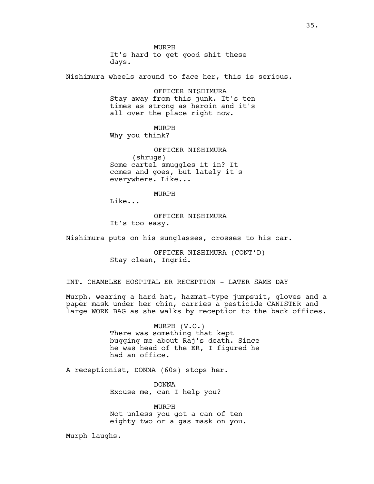MURPH It's hard to get good shit these days.

Nishimura wheels around to face her, this is serious.

OFFICER NISHIMURA Stay away from this junk. It's ten times as strong as heroin and it's all over the place right now.

MURPH Why you think?

OFFICER NISHIMURA (shrugs) Some cartel smuggles it in? It comes and goes, but lately it's everywhere. Like...

MURPH

Like...

OFFICER NISHIMURA It's too easy.

Nishimura puts on his sunglasses, crosses to his car.

OFFICER NISHIMURA (CONT'D) Stay clean, Ingrid.

INT. CHAMBLEE HOSPITAL ER RECEPTION - LATER SAME DAY

Murph, wearing a hard hat, hazmat-type jumpsuit, gloves and a paper mask under her chin, carries a pesticide CANISTER and large WORK BAG as she walks by reception to the back offices.

> MURPH (V.O.) There was something that kept bugging me about Raj's death. Since he was head of the ER, I figured he had an office.

A receptionist, DONNA (60s) stops her.

DONNA Excuse me, can I help you?

MURPH Not unless you got a can of ten eighty two or a gas mask on you.

Murph laughs.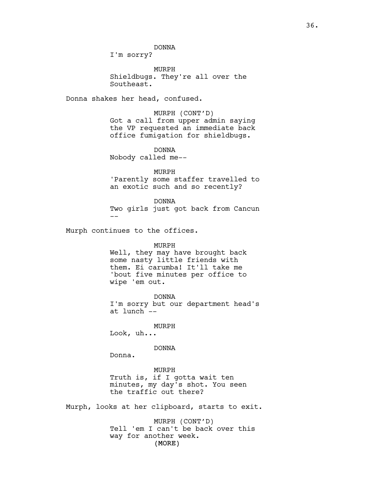DONNA

I'm sorry?

MURPH Shieldbugs. They're all over the Southeast.

Donna shakes her head, confused.

MURPH (CONT'D) Got a call from upper admin saying the VP requested an immediate back office fumigation for shieldbugs.

DONNA Nobody called me--

MURPH 'Parently some staffer travelled to an exotic such and so recently?

DONNA Two girls just got back from Cancun --

Murph continues to the offices.

MURPH Well, they may have brought back some nasty little friends with them. Ei carumba! It'll take me 'bout five minutes per office to wipe 'em out.

DONNA I'm sorry but our department head's at lunch --

MURPH

Look, uh...

DONNA

Donna.

MURPH Truth is, if I gotta wait ten minutes, my day's shot. You seen the traffic out there?

Murph, looks at her clipboard, starts to exit.

(MORE) MURPH (CONT'D) Tell 'em I can't be back over this way for another week.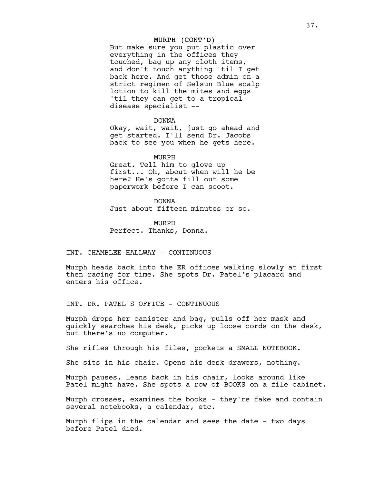# MURPH (CONT'D)

But make sure you put plastic over everything in the offices they touched, bag up any cloth items, and don't touch anything 'til I get back here. And get those admin on a strict regimen of Selsun Blue scalp lotion to kill the mites and eggs 'til they can get to a tropical disease specialist --

#### DONNA

Okay, wait, wait, just go ahead and get started. I'll send Dr. Jacobs back to see you when he gets here.

MURPH

Great. Tell him to glove up first... Oh, about when will he be here? He's gotta fill out some paperwork before I can scoot.

DONNA Just about fifteen minutes or so.

MURPH Perfect. Thanks, Donna.

INT. CHAMBLEE HALLWAY - CONTINUOUS

Murph heads back into the ER offices walking slowly at first then racing for time. She spots Dr. Patel's placard and enters his office.

INT. DR. PATEL'S OFFICE - CONTINUOUS

Murph drops her canister and bag, pulls off her mask and quickly searches his desk, picks up loose cords on the desk, but there's no computer.

She rifles through his files, pockets a SMALL NOTEBOOK.

She sits in his chair. Opens his desk drawers, nothing.

Murph pauses, leans back in his chair, looks around like Patel might have. She spots a row of BOOKS on a file cabinet.

Murph crosses, examines the books - they're fake and contain several notebooks, a calendar, etc.

Murph flips in the calendar and sees the date - two days before Patel died.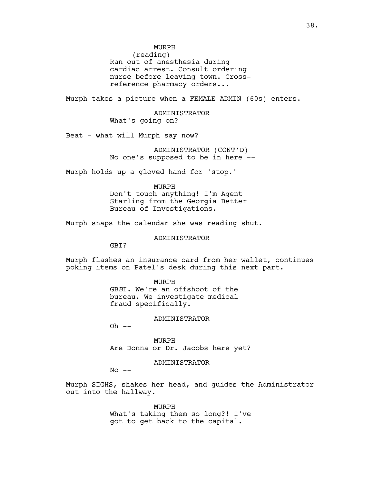MURPH

(reading) Ran out of anesthesia during cardiac arrest. Consult ordering nurse before leaving town. Crossreference pharmacy orders...

Murph takes a picture when a FEMALE ADMIN (60s) enters.

ADMINISTRATOR What's going on?

Beat - what will Murph say now?

ADMINISTRATOR (CONT'D) No one's supposed to be in here --

Murph holds up a gloved hand for 'stop.'

MURPH Don't touch anything! I'm Agent Starling from the Georgia Better Bureau of Investigations.

Murph snaps the calendar she was reading shut.

ADMINISTRATOR

GBI?

Murph flashes an insurance card from her wallet, continues poking items on Patel's desk during this next part.

MURPH

GB*B*I. We're an offshoot of the bureau. We investigate medical fraud specifically.

## ADMINISTRATOR

 $Oh$   $--$ 

MURPH Are Donna or Dr. Jacobs here yet?

ADMINISTRATOR

 $No$   $--$ 

Murph SIGHS, shakes her head, and guides the Administrator out into the hallway.

> MURPH What's taking them so long?! I've got to get back to the capital.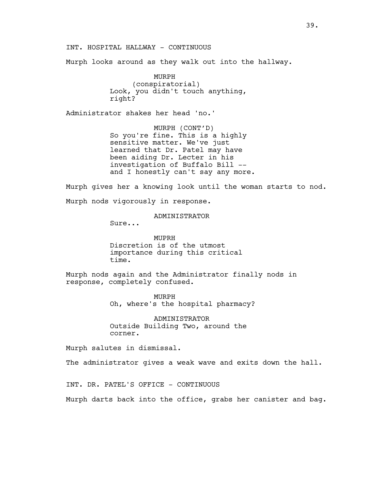INT. HOSPITAL HALLWAY - CONTINUOUS

Murph looks around as they walk out into the hallway.

MURPH (conspiratorial) Look, you didn't touch anything, right?

Administrator shakes her head 'no.'

MURPH (CONT'D) So you're fine. This is a highly sensitive matter. We've just learned that Dr. Patel may have been aiding Dr. Lecter in his investigation of Buffalo Bill - and I honestly can't say any more.

Murph gives her a knowing look until the woman starts to nod. Murph nods vigorously in response.

ADMINISTRATOR

Sure...

MUPRH Discretion is of the utmost importance during this critical time.

Murph nods again and the Administrator finally nods in response, completely confused.

> MURPH Oh, where's the hospital pharmacy?

ADMINISTRATOR Outside Building Two, around the corner.

Murph salutes in dismissal.

The administrator gives a weak wave and exits down the hall.

INT. DR. PATEL'S OFFICE - CONTINUOUS

Murph darts back into the office, grabs her canister and bag.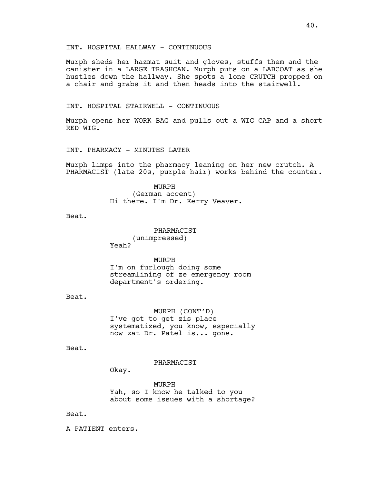Murph sheds her hazmat suit and gloves, stuffs them and the canister in a LARGE TRASHCAN. Murph puts on a LABCOAT as she hustles down the hallway. She spots a lone CRUTCH propped on a chair and grabs it and then heads into the stairwell.

# INT. HOSPITAL STAIRWELL - CONTINUOUS

Murph opens her WORK BAG and pulls out a WIG CAP and a short RED WIG.

INT. PHARMACY - MINUTES LATER

Murph limps into the pharmacy leaning on her new crutch. A PHARMACIST (late 20s, purple hair) works behind the counter.

> MURPH (German accent) Hi there. I'm Dr. Kerry Veaver.

Beat.

PHARMACIST (unimpressed) Yeah?

MURPH I'm on furlough doing some streamlining of ze emergency room department's ordering.

Beat.

MURPH (CONT'D) I've got to get zis place systematized, you know, especially now zat Dr. Patel is... gone.

Beat.

PHARMACIST

Okay.

MURPH Yah, so I know he talked to you about some issues with a shortage?

Beat.

A PATIENT enters.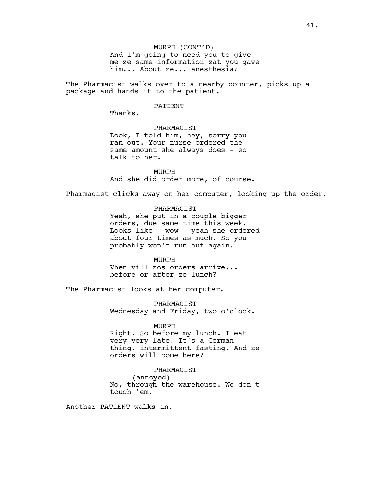MURPH (CONT'D) And I'm going to need you to give me ze same information zat you gave him... About ze... anesthesia?

The Pharmacist walks over to a nearby counter, picks up a package and hands it to the patient.

## PATIENT

Thanks.

# PHARMACIST

Look, I told him, hey, sorry you ran out. Your nurse ordered the same amount she always does - so talk to her.

MURPH And she did order more, of course.

Pharmacist clicks away on her computer, looking up the order.

PHARMACIST Yeah, she put in a couple bigger orders, due same time this week. Looks like - wow - yeah she ordered about four times as much. So you probably won't run out again.

MURPH Vhen vill zos orders arrive... before or after ze lunch?

The Pharmacist looks at her computer.

PHARMACIST Wednesday and Friday, two o'clock.

## MURPH

Right. So before my lunch. I eat very very late. It's a German thing, intermittent fasting. And ze orders will come here?

# PHARMACIST

(annoyed) No, through the warehouse. We don't touch 'em.

Another PATIENT walks in.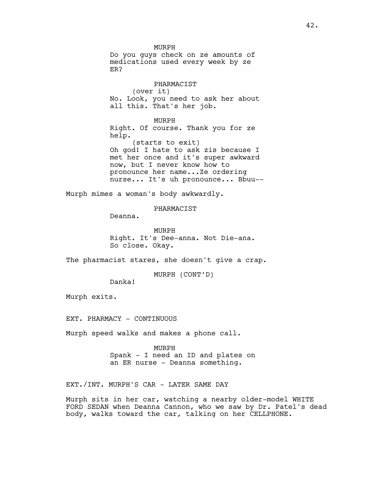MURPH Do you guys check on ze amounts of medications used every week by ze ER?

PHARMACIST (over it) No. Look, you need to ask her about all this. That's her job.

MURPH Right. Of course. Thank you for ze help. (starts to exit) Oh god! I hate to ask zis because I met her once and it's super awkward

now, but I never know how to pronounce her name...Ze ordering nurse... It's uh pronounce... Bbuu--

Murph mimes a woman's body awkwardly.

PHARMACIST

Deanna.

MURPH Right. It's Dee-anna. Not Die-ana. So close. Okay.

The pharmacist stares, she doesn't give a crap.

MURPH (CONT'D)

Danka!

Murph exits.

EXT. PHARMACY - CONTINUOUS

Murph speed walks and makes a phone call.

MURPH Spank - I need an ID and plates on an ER nurse - Deanna something.

EXT./INT. MURPH'S CAR - LATER SAME DAY

Murph sits in her car, watching a nearby older-model WHITE FORD SEDAN when Deanna Cannon, who we saw by Dr. Patel's dead body, walks toward the car, talking on her CELLPHONE.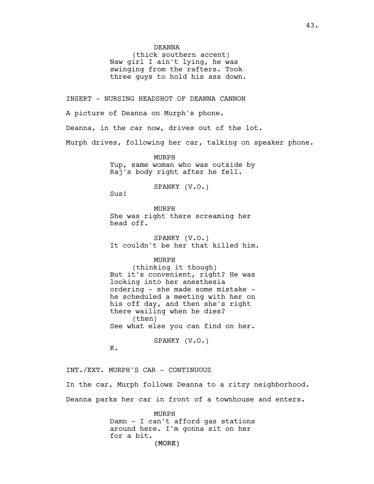DEANNA

(thick southern accent) Naw girl I ain't lying, he was swinging from the rafters. Took three guys to hold his ass down.

INSERT - NURSING HEADSHOT OF DEANNA CANNON

A picture of Deanna on Murph's phone.

Deanna, in the car now, drives out of the lot.

Murph drives, following her car, talking on speaker phone.

MURPH Yup, same woman who was outside by Raj's body right after he fell.

SPANKY (V.O.)

Sus!

MURPH She was right there screaming her head off.

SPANKY (V.O.) It couldn't be her that killed him.

MURPH

(thinking it though) But it's convenient, right? He was looking into her anesthesia ordering - she made some mistake he scheduled a meeting with her on his off day, and then she's right there wailing when he dies? (then) See what else you can find on her.

SPANKY (V.O.)

K.

INT./EXT. MURPH'S CAR - CONTINUOUS In the car, Murph follows Deanna to a ritzy neighborhood. Deanna parks her car in front of a townhouse and enters.

> (MORE) MURPH Damn - I can't afford gas stations around here. I'm gonna sit on her for a bit.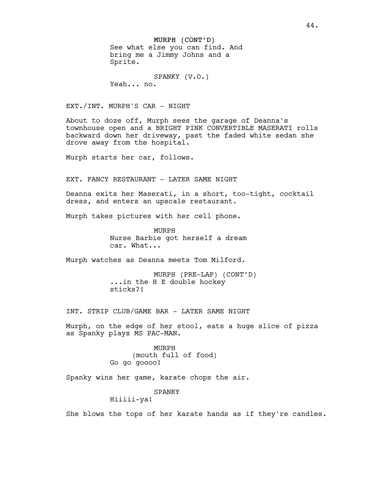# MURPH (CONT'D) See what else you can find. And bring me a Jimmy Johns and a Sprite.

SPANKY (V.O.) Yeah... no.

EXT./INT. MURPH'S CAR - NIGHT

About to doze off, Murph sees the garage of Deanna's townhouse open and a BRIGHT PINK CONVERTIBLE MASERATI rolls backward down her driveway, past the faded white sedan she drove away from the hospital.

Murph starts her car, follows.

EXT. FANCY RESTAURANT - LATER SAME NIGHT

Deanna exits her Maserati, in a short, too-tight, cocktail dress, and enters an upscale restaurant.

Murph takes pictures with her cell phone.

MURPH Nurse Barbie got herself a dream car. What...

Murph watches as Deanna meets Tom Milford.

MURPH (PRE-LAP) (CONT'D) ...in the H E double hockey sticks?!

INT. STRIP CLUB/GAME BAR - LATER SAME NIGHT

Murph, on the edge of her stool, eats a huge slice of pizza as Spanky plays MS PAC-MAN.

> MURPH (mouth full of food) Go go goooo!

Spanky wins her game, karate chops the air.

SPANKY

Hiiiii-ya!

She blows the tops of her karate hands as if they're candles.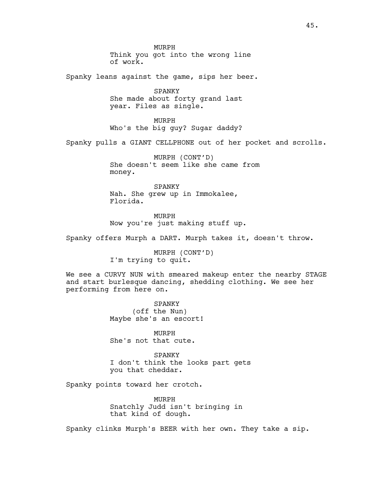MURPH Think you got into the wrong line of work.

Spanky leans against the game, sips her beer.

SPANKY She made about forty grand last year. Files as single.

MURPH Who's the big guy? Sugar daddy?

Spanky pulls a GIANT CELLPHONE out of her pocket and scrolls.

MURPH (CONT'D) She doesn't seem like she came from money.

SPANKY Nah. She grew up in Immokalee, Florida.

MURPH Now you're just making stuff up.

Spanky offers Murph a DART. Murph takes it, doesn't throw.

MURPH (CONT'D) I'm trying to quit.

We see a CURVY NUN with smeared makeup enter the nearby STAGE and start burlesque dancing, shedding clothing. We see her performing from here on.

> SPANKY (off the Nun) Maybe she's an escort!

MURPH She's not that cute.

SPANKY I don't think the looks part gets you that cheddar.

Spanky points toward her crotch.

MURPH Snatchly Judd isn't bringing in that kind of dough.

Spanky clinks Murph's BEER with her own. They take a sip.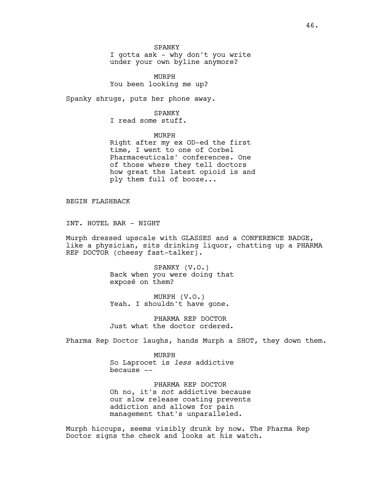SPANKY

I gotta ask - why don't you write under your own byline anymore?

MURPH You been looking me up?

Spanky shrugs, puts her phone away.

SPANKY

I read some stuff.

MURPH Right after my ex OD-ed the first time, I went to one of Corbel Pharmaceuticals' conferences. One of those where they tell doctors how great the latest opioid is and ply them full of booze...

BEGIN FLASHBACK

INT. HOTEL BAR - NIGHT

Murph dressed upscale with GLASSES and a CONFERENCE BADGE, like a physician, sits drinking liquor, chatting up a PHARMA REP DOCTOR (cheesy fast-talker).

> SPANKY (V.O.) Back when you were doing that exposé on them?

MURPH (V.O.) Yeah. I shouldn't have gone.

PHARMA REP DOCTOR Just what the doctor ordered.

Pharma Rep Doctor laughs, hands Murph a SHOT, they down them.

MURPH So Laprocet is *less* addictive because --

PHARMA REP DOCTOR Oh no, it's *not* addictive because our slow release coating prevents addiction and allows for pain management that's unparalleled.

Murph hiccups, seems visibly drunk by now. The Pharma Rep Doctor signs the check and looks at his watch.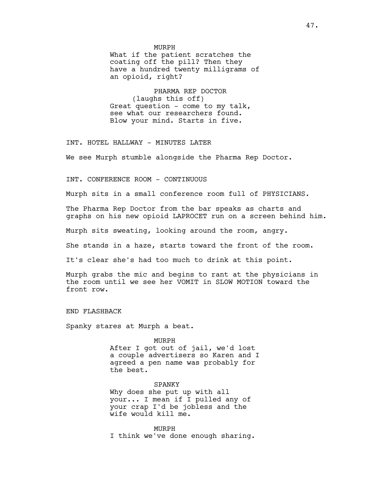MURPH

What if the patient scratches the coating off the pill? Then they have a hundred twenty milligrams of an opioid, right?

PHARMA REP DOCTOR (laughs this off) Great question - come to my talk, see what our researchers found. Blow your mind. Starts in five.

INT. HOTEL HALLWAY - MINUTES LATER

We see Murph stumble alongside the Pharma Rep Doctor.

INT. CONFERENCE ROOM - CONTINUOUS

Murph sits in a small conference room full of PHYSICIANS.

The Pharma Rep Doctor from the bar speaks as charts and graphs on his new opioid LAPROCET run on a screen behind him.

Murph sits sweating, looking around the room, angry.

She stands in a haze, starts toward the front of the room.

It's clear she's had too much to drink at this point.

Murph grabs the mic and begins to rant at the physicians in the room until we see her VOMIT in SLOW MOTION toward the front row.

END FLASHBACK

Spanky stares at Murph a beat.

MURPH After I got out of jail, we'd lost a couple advertisers so Karen and I agreed a pen name was probably for the best.

SPANKY Why does she put up with all your... I mean if I pulled any of your crap I'd be jobless and the wife would kill me.

MURPH I think we've done enough sharing.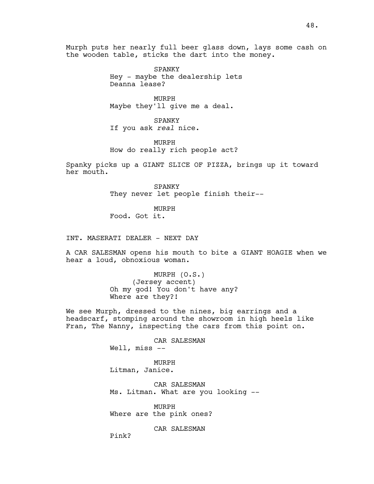Murph puts her nearly full beer glass down, lays some cash on the wooden table, sticks the dart into the money.

> SPANKY Hey - maybe the dealership lets Deanna lease?

MURPH Maybe they'll give me a deal.

SPANKY If you ask *real* nice.

MURPH How do really rich people act?

Spanky picks up a GIANT SLICE OF PIZZA, brings up it toward her mouth.

> SPANKY They never let people finish their--

> > MURPH

Food. Got it.

INT. MASERATI DEALER - NEXT DAY

A CAR SALESMAN opens his mouth to bite a GIANT HOAGIE when we hear a loud, obnoxious woman.

> MURPH (O.S.) (Jersey accent) Oh my god! You don't have any? Where are they?!

We see Murph, dressed to the nines, big earrings and a headscarf, stomping around the showroom in high heels like Fran, The Nanny, inspecting the cars from this point on.

> CAR SALESMAN Well, miss --

MURPH Litman, Janice.

CAR SALESMAN Ms. Litman. What are you looking --

MURPH Where are the pink ones?

CAR SALESMAN

Pink?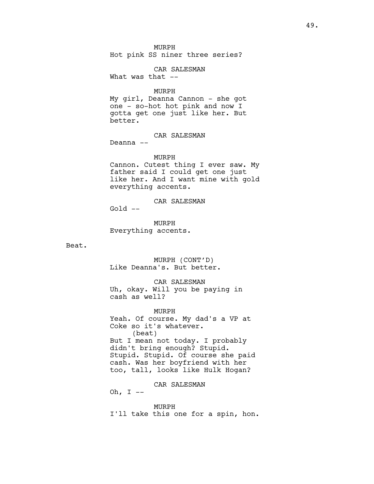MURPH Hot pink SS niner three series?

CAR SALESMAN What was that  $--$ 

MURPH

My girl, Deanna Cannon - she got one - so-hot hot pink and now I gotta get one just like her. But better.

CAR SALESMAN

Deanna --

MURPH

Cannon. Cutest thing I ever saw. My father said I could get one just like her. And I want mine with gold everything accents.

CAR SALESMAN

Gold --

MURPH Everything accents.

Beat.

MURPH (CONT'D) Like Deanna's. But better.

CAR SALESMAN

Uh, okay. Will you be paying in cash as well?

MURPH

Yeah. Of course. My dad's a VP at Coke so it's whatever. (beat) But I mean not today. I probably didn't bring enough? Stupid. Stupid. Stupid. Of course she paid cash. Was her boyfriend with her too, tall, looks like Hulk Hogan?

CAR SALESMAN

Oh, I --

MURPH

I'll take this one for a spin, hon.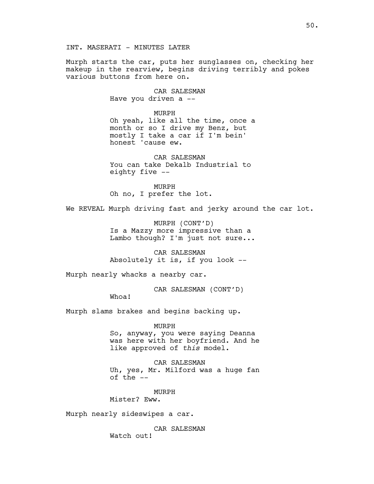Murph starts the car, puts her sunglasses on, checking her makeup in the rearview, begins driving terribly and pokes various buttons from here on.

> CAR SALESMAN Have you driven a --

> > MURPH

Oh yeah, like all the time, once a month or so I drive my Benz, but mostly I take a car if I'm bein' honest 'cause ew.

CAR SALESMAN You can take Dekalb Industrial to eighty five --

MURPH Oh no, I prefer the lot.

We REVEAL Murph driving fast and jerky around the car lot.

MURPH (CONT'D) Is a Mazzy more impressive than a Lambo though? I'm just not sure...

CAR SALESMAN Absolutely it is, if you look --

Murph nearly whacks a nearby car.

CAR SALESMAN (CONT'D)

Whoa!

Murph slams brakes and begins backing up.

MURPH

So, anyway, you were saying Deanna was here with her boyfriend. And he like approved of *this* model.

CAR SALESMAN Uh, yes, Mr. Milford was a huge fan of the --

MURPH Mister? Eww.

Murph nearly sideswipes a car.

CAR SALESMAN Watch out!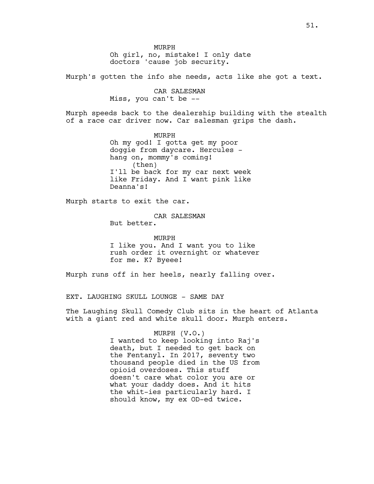MURPH Oh girl, no, mistake! I only date doctors 'cause job security.

Murph's gotten the info she needs, acts like she got a text.

CAR SALESMAN Miss, you can't be --

Murph speeds back to the dealership building with the stealth of a race car driver now. Car salesman grips the dash.

> MURPH Oh my god! I gotta get my poor doggie from daycare. Hercules hang on, mommy's coming! (then) I'll be back for my car next week like Friday. And I want pink like Deanna's!

Murph starts to exit the car.

CAR SALESMAN But better.

MURPH I like you. And I want you to like rush order it overnight or whatever for me. K? Byeee!

Murph runs off in her heels, nearly falling over.

EXT. LAUGHING SKULL LOUNGE - SAME DAY

The Laughing Skull Comedy Club sits in the heart of Atlanta with a giant red and white skull door. Murph enters.

# MURPH (V.O.)

I wanted to keep looking into Raj's death, but I needed to get back on the Fentanyl. In 2017, seventy two thousand people died in the US from opioid overdoses. This stuff doesn't care what color you are or what your daddy does. And it hits the whit-ies particularly hard. I should know, my ex OD-ed twice.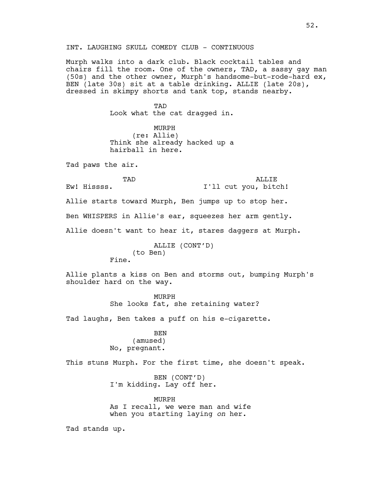INT. LAUGHING SKULL COMEDY CLUB - CONTINUOUS

Murph walks into a dark club. Black cocktail tables and chairs fill the room. One of the owners, TAD, a sassy gay man (50s) and the other owner, Murph's handsome-but-rode-hard ex, BEN (late 30s) sit at a table drinking. ALLIE (late 20s), dressed in skimpy shorts and tank top, stands nearby.

> TAD Look what the cat dragged in.

> MURPH (re: Allie) Think she already hacked up a hairball in here.

Tad paws the air.

| TAD         |  |  | ALLIE |  |  |                      |
|-------------|--|--|-------|--|--|----------------------|
| Ew! Hissss. |  |  |       |  |  | I'll cut you, bitch! |

Allie starts toward Murph, Ben jumps up to stop her.

Ben WHISPERS in Allie's ear, squeezes her arm gently.

Allie doesn't want to hear it, stares daggers at Murph.

ALLIE (CONT'D) (to Ben) Fine.

Allie plants a kiss on Ben and storms out, bumping Murph's shoulder hard on the way.

> MURPH She looks fat, she retaining water?

Tad laughs, Ben takes a puff on his e-cigarette.

BEN (amused) No, pregnant.

This stuns Murph. For the first time, she doesn't speak.

BEN (CONT'D) I'm kidding. Lay off her.

MURPH As I recall, we were man and wife when you starting laying *on* her.

Tad stands up.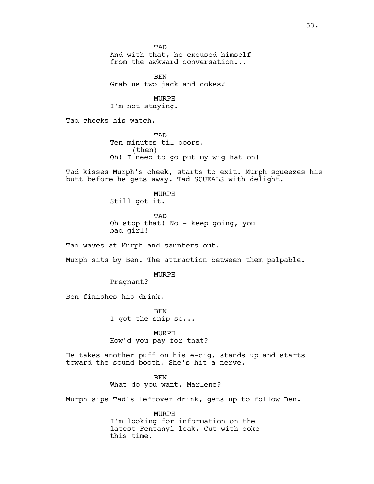**TAD** And with that, he excused himself from the awkward conversation...

**BEN** Grab us two jack and cokes?

MURPH I'm not staying.

Tad checks his watch.

TAD Ten minutes til doors. (then) Oh! I need to go put my wig hat on!

Tad kisses Murph's cheek, starts to exit. Murph squeezes his butt before he gets away. Tad SQUEALS with delight.

> MURPH Still got it.

TAD Oh stop that! No - keep going, you bad girl!

Tad waves at Murph and saunters out.

Murph sits by Ben. The attraction between them palpable.

MURPH

Pregnant?

Ben finishes his drink.

BEN I got the snip so...

MURPH How'd you pay for that?

He takes another puff on his e-cig, stands up and starts toward the sound booth. She's hit a nerve.

> BEN What do you want, Marlene?

Murph sips Tad's leftover drink, gets up to follow Ben.

MURPH I'm looking for information on the latest Fentanyl leak. Cut with coke this time.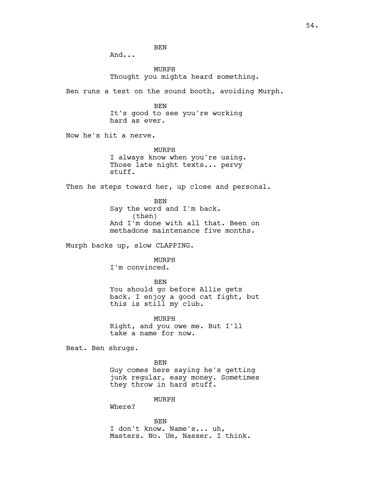And...

MURPH Thought you mighta heard something.

Ben runs a test on the sound booth, avoiding Murph.

BEN It's good to see you're working hard as ever.

Now he's hit a nerve.

MURPH I always know when you're using. Those late night texts... pervy stuff.

Then he steps toward her, up close and personal.

BEN Say the word and I'm back. (then) And I'm done with all that. Been on methadone maintenance five months.

Murph backs up, slow CLAPPING.

MURPH

I'm convinced.

BEN

You should go before Allie gets back. I enjoy a good cat fight, but this is still my club.

MURPH Right, and you owe me. But I'll take a name for now.

Beat. Ben shrugs.

BEN Guy comes here saying he's getting junk regular, easy money. Sometimes they throw in hard stuff.

MURPH

Where?

BEN I don't know. Name's... uh, Masters. No. Um, Nasser. I think.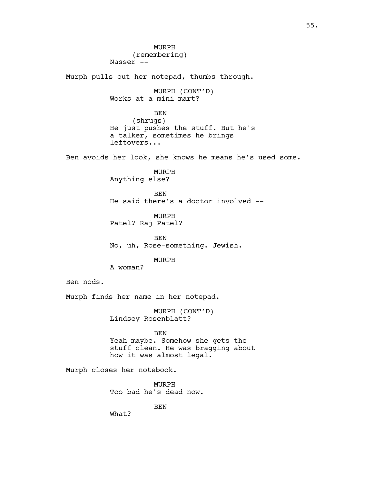MURPH (remembering) Nasser -- Murph pulls out her notepad, thumbs through. MURPH (CONT'D) Works at a mini mart? **BEN** (shrugs) He just pushes the stuff. But he's a talker, sometimes he brings leftovers... Ben avoids her look, she knows he means he's used some. MURPH Anything else? **BEN** He said there's a doctor involved -- MURPH Patel? Raj Patel? BEN No, uh, Rose-something. Jewish. MURPH A woman? Ben nods. Murph finds her name in her notepad. MURPH (CONT'D) Lindsey Rosenblatt? BEN Yeah maybe. Somehow she gets the stuff clean. He was bragging about how it was almost legal. Murph closes her notebook. MURPH Too bad he's dead now. BEN What?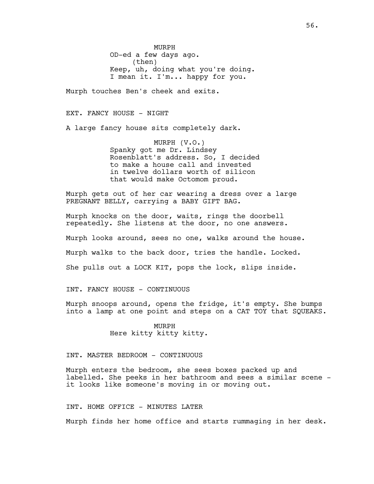MURPH OD-ed a few days ago. (then) Keep, uh, doing what you're doing. I mean it. I'm... happy for you.

Murph touches Ben's cheek and exits.

EXT. FANCY HOUSE - NIGHT

A large fancy house sits completely dark.

MURPH (V.O.) Spanky got me Dr. Lindsey Rosenblatt's address. So, I decided to make a house call and invested in twelve dollars worth of silicon that would make Octomom proud.

Murph gets out of her car wearing a dress over a large PREGNANT BELLY, carrying a BABY GIFT BAG.

Murph knocks on the door, waits, rings the doorbell repeatedly. She listens at the door, no one answers.

Murph looks around, sees no one, walks around the house.

Murph walks to the back door, tries the handle. Locked.

She pulls out a LOCK KIT, pops the lock, slips inside.

INT. FANCY HOUSE - CONTINUOUS

Murph snoops around, opens the fridge, it's empty. She bumps into a lamp at one point and steps on a CAT TOY that SQUEAKS.

> MURPH Here kitty kitty kitty.

# INT. MASTER BEDROOM - CONTINUOUS

Murph enters the bedroom, she sees boxes packed up and labelled. She peeks in her bathroom and sees a similar scene it looks like someone's moving in or moving out.

INT. HOME OFFICE - MINUTES LATER

Murph finds her home office and starts rummaging in her desk.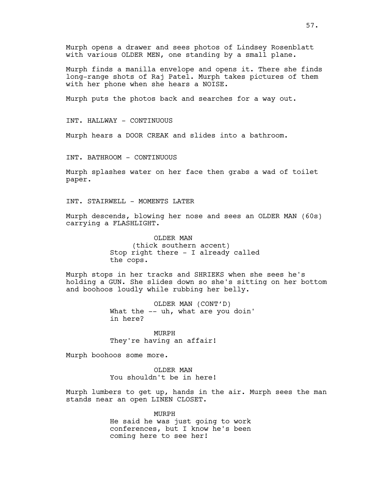Murph opens a drawer and sees photos of Lindsey Rosenblatt with various OLDER MEN, one standing by a small plane.

Murph finds a manilla envelope and opens it. There she finds long-range shots of Raj Patel. Murph takes pictures of them with her phone when she hears a NOISE.

Murph puts the photos back and searches for a way out.

INT. HALLWAY - CONTINUOUS

Murph hears a DOOR CREAK and slides into a bathroom.

INT. BATHROOM - CONTINUOUS

Murph splashes water on her face then grabs a wad of toilet paper.

INT. STAIRWELL - MOMENTS LATER

Murph descends, blowing her nose and sees an OLDER MAN (60s) carrying a FLASHLIGHT.

> OLDER MAN (thick southern accent) Stop right there - I already called the cops.

Murph stops in her tracks and SHRIEKS when she sees he's holding a GUN. She slides down so she's sitting on her bottom and boohoos loudly while rubbing her belly.

> OLDER MAN (CONT'D) What the -- uh, what are you doin' in here?

MURPH They're having an affair!

Murph boohoos some more.

OLDER MAN You shouldn't be in here!

Murph lumbers to get up, hands in the air. Murph sees the man stands near an open LINEN CLOSET.

> MURPH He said he was just going to work conferences, but I know he's been coming here to see her!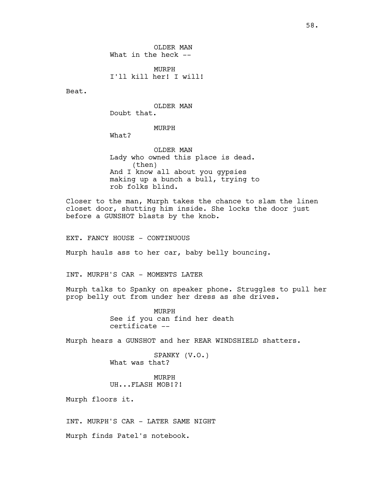OLDER MAN What in the heck --

MURPH I'll kill her! I will!

Beat.

OLDER MAN Doubt that.

MURPH

What?

OLDER MAN Lady who owned this place is dead. (then) And I know all about you gypsies making up a bunch a bull, trying to rob folks blind.

Closer to the man, Murph takes the chance to slam the linen closet door, shutting him inside. She locks the door just before a GUNSHOT blasts by the knob.

EXT. FANCY HOUSE - CONTINUOUS

Murph hauls ass to her car, baby belly bouncing.

INT. MURPH'S CAR - MOMENTS LATER

Murph talks to Spanky on speaker phone. Struggles to pull her prop belly out from under her dress as she drives.

> MURPH See if you can find her death certificate --

Murph hears a GUNSHOT and her REAR WINDSHIELD shatters.

SPANKY (V.O.) What was that?

MURPH UH...FLASH MOB!?!

Murph floors it.

INT. MURPH'S CAR - LATER SAME NIGHT

Murph finds Patel's notebook.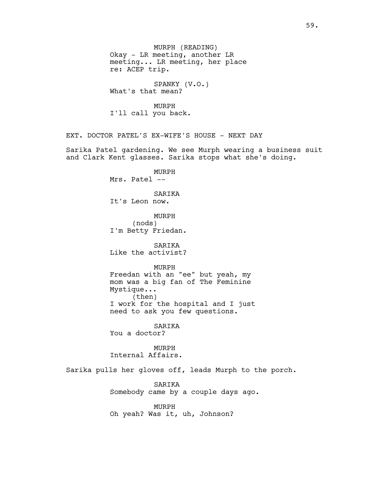meeting... LR meeting, her place re: ACEP trip. SPANKY (V.O.) What's that mean? MURPH I'll call you back. EXT. DOCTOR PATEL'S EX-WIFE'S HOUSE - NEXT DAY Sarika Patel gardening. We see Murph wearing a business suit and Clark Kent glasses. Sarika stops what she's doing. MURPH Mrs. Patel -- SARIKA It's Leon now. MURPH (nods) I'm Betty Friedan. SARIKA Like the activist? MURPH Freedan with an "ee" but yeah, my mom was a big fan of The Feminine Mystique... (then) I work for the hospital and I just need to ask you few questions. SARIKA You a doctor? MURPH Internal Affairs. Sarika pulls her gloves off, leads Murph to the porch. SARIKA Somebody came by a couple days ago. MURPH Oh yeah? Was it, uh, Johnson?

MURPH (READING)

Okay - LR meeting, another LR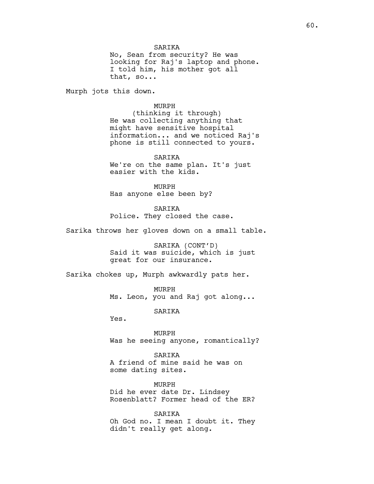**SARTKA** 

No, Sean from security? He was looking for Raj's laptop and phone. I told him, his mother got all that, so...

Murph jots this down.

#### MURPH

(thinking it through) He was collecting anything that might have sensitive hospital information... and we noticed Raj's phone is still connected to yours.

SARIKA We're on the same plan. It's just easier with the kids.

MURPH Has anyone else been by?

SARIKA Police. They closed the case.

Sarika throws her gloves down on a small table.

SARIKA (CONT'D) Said it was suicide, which is just great for our insurance.

Sarika chokes up, Murph awkwardly pats her.

MURPH Ms. Leon, you and Raj got along...

SARIKA

Yes.

MURPH Was he seeing anyone, romantically?

SARIKA A friend of mine said he was on some dating sites.

MURPH Did he ever date Dr. Lindsey Rosenblatt? Former head of the ER?

SARIKA Oh God no. I mean I doubt it. They didn't really get along.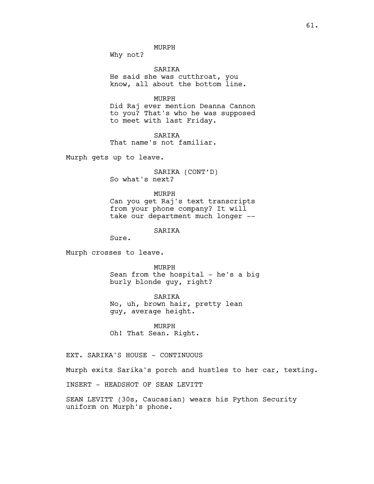MURPH

Why not?

SARIKA He said she was cutthroat, you know, all about the bottom line.

# MURPH

Did Raj ever mention Deanna Cannon to you? That's who he was supposed to meet with last Friday.

SARIKA That name's not familiar.

Murph gets up to leave.

SARIKA (CONT'D) So what's next?

#### MURPH

Can you get Raj's text transcripts from your phone company? It will take our department much longer --

## SARIKA

Sure.

Murph crosses to leave.

MURPH Sean from the hospital - he's a big burly blonde guy, right?

SARIKA No, uh, brown hair, pretty lean guy, average height.

MURPH Oh! That Sean. Right.

EXT. SARIKA'S HOUSE - CONTINUOUS

Murph exits Sarika's porch and hustles to her car, texting.

INSERT - HEADSHOT OF SEAN LEVITT

SEAN LEVITT (30s, Caucasian) wears his Python Security uniform on Murph's phone.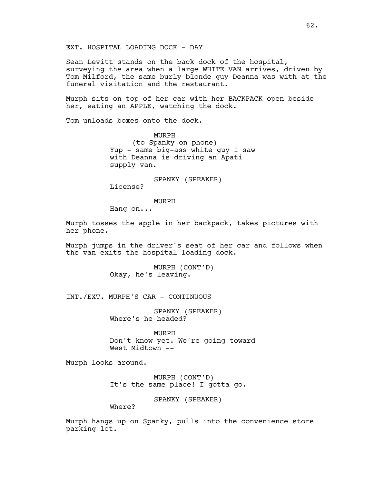Sean Levitt stands on the back dock of the hospital, surveying the area when a large WHITE VAN arrives, driven by Tom Milford, the same burly blonde guy Deanna was with at the funeral visitation and the restaurant.

Murph sits on top of her car with her BACKPACK open beside her, eating an APPLE, watching the dock.

Tom unloads boxes onto the dock.

MURPH (to Spanky on phone) Yup - same big-ass white guy I saw with Deanna is driving an Apati supply van.

SPANKY (SPEAKER) License?

MURPH

Hang on...

Murph tosses the apple in her backpack, takes pictures with her phone.

Murph jumps in the driver's seat of her car and follows when the van exits the hospital loading dock.

> MURPH (CONT'D) Okay, he's leaving.

INT./EXT. MURPH'S CAR - CONTINUOUS

SPANKY (SPEAKER) Where's he headed?

MURPH Don't know yet. We're going toward West Midtown --

Murph looks around.

MURPH (CONT'D) It's the same place! I gotta go.

SPANKY (SPEAKER)

Where?

Murph hangs up on Spanky, pulls into the convenience store parking lot.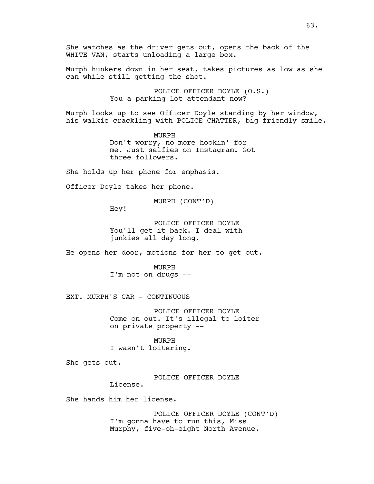Murph hunkers down in her seat, takes pictures as low as she can while still getting the shot.

> POLICE OFFICER DOYLE (O.S.) You a parking lot attendant now?

Murph looks up to see Officer Doyle standing by her window, his walkie crackling with POLICE CHATTER, big friendly smile.

> MURPH Don't worry, no more hookin' for me. Just selfies on Instagram. Got three followers.

She holds up her phone for emphasis.

WHITE VAN, starts unloading a large box.

Officer Doyle takes her phone.

MURPH (CONT'D)

Hey!

POLICE OFFICER DOYLE You'll get it back. I deal with junkies all day long.

He opens her door, motions for her to get out.

MURPH I'm not on drugs --

EXT. MURPH'S CAR - CONTINUOUS

POLICE OFFICER DOYLE Come on out. It's illegal to loiter on private property --

MURPH

I wasn't loitering.

She gets out.

POLICE OFFICER DOYLE

She hands him her license.

License.

POLICE OFFICER DOYLE (CONT'D) I'm gonna have to run this, Miss Murphy, five-oh-eight North Avenue.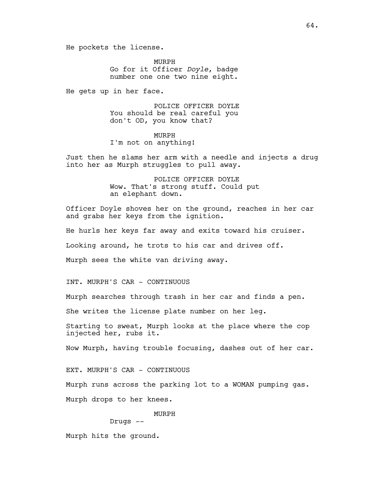He pockets the license.

MURPH Go for it Officer *Doyle*, badge number one one two nine eight.

He gets up in her face.

POLICE OFFICER DOYLE You should be real careful you don't OD, you know that?

MURPH I'm not on anything!

Just then he slams her arm with a needle and injects a drug into her as Murph struggles to pull away.

> POLICE OFFICER DOYLE Wow. That's strong stuff. Could put an elephant down.

Officer Doyle shoves her on the ground, reaches in her car and grabs her keys from the ignition.

He hurls her keys far away and exits toward his cruiser. Looking around, he trots to his car and drives off. Murph sees the white van driving away.

INT. MURPH'S CAR - CONTINUOUS

Murph searches through trash in her car and finds a pen.

She writes the license plate number on her leg.

Starting to sweat, Murph looks at the place where the cop injected her, rubs it.

Now Murph, having trouble focusing, dashes out of her car.

EXT. MURPH'S CAR - CONTINUOUS

Murph runs across the parking lot to a WOMAN pumping gas. Murph drops to her knees.

MURPH

Drugs --

Murph hits the ground.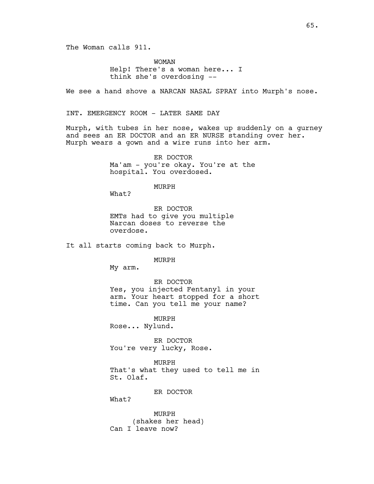WOMAN Help! There's a woman here... I think she's overdosing --

We see a hand shove a NARCAN NASAL SPRAY into Murph's nose.

INT. EMERGENCY ROOM - LATER SAME DAY

Murph, with tubes in her nose, wakes up suddenly on a gurney and sees an ER DOCTOR and an ER NURSE standing over her. Murph wears a gown and a wire runs into her arm.

> ER DOCTOR Ma'am - you're okay. You're at the hospital. You overdosed.

> > MURPH

What?

ER DOCTOR EMTs had to give you multiple Narcan doses to reverse the overdose.

It all starts coming back to Murph.

MURPH

My arm.

ER DOCTOR Yes, you injected Fentanyl in your arm. Your heart stopped for a short time. Can you tell me your name?

MURPH Rose... Nylund.

ER DOCTOR You're very lucky, Rose.

MURPH That's what they used to tell me in St. Olaf.

ER DOCTOR

What?

MURPH (shakes her head) Can I leave now?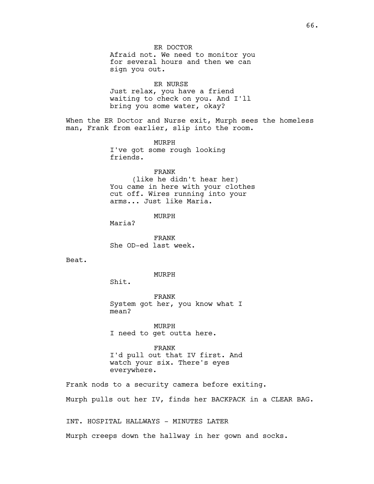ER DOCTOR Afraid not. We need to monitor you for several hours and then we can sign you out.

ER NURSE Just relax, you have a friend waiting to check on you. And I'll bring you some water, okay?

When the ER Doctor and Nurse exit, Murph sees the homeless man, Frank from earlier, slip into the room.

> MURPH I've got some rough looking friends.

FRANK (like he didn't hear her) You came in here with your clothes cut off. Wires running into your arms... Just like Maria.

MURPH

Maria?

FRANK She OD-ed last week.

Beat.

MURPH

Shit.

FRANK System got her, you know what I mean?

MURPH I need to get outta here.

FRANK I'd pull out that IV first. And watch your six. There's eyes everywhere.

Frank nods to a security camera before exiting. Murph pulls out her IV, finds her BACKPACK in a CLEAR BAG.

INT. HOSPITAL HALLWAYS - MINUTES LATER

Murph creeps down the hallway in her gown and socks.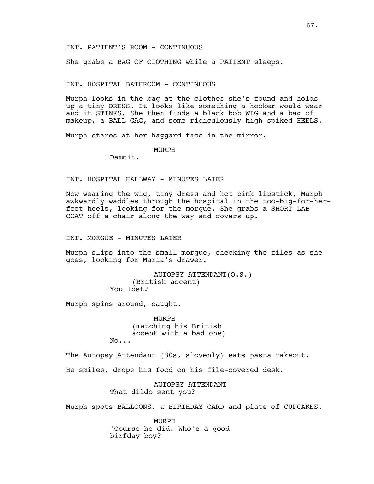She grabs a BAG OF CLOTHING while a PATIENT sleeps.

## INT. HOSPITAL BATHROOM - CONTINUOUS

Murph looks in the bag at the clothes she's found and holds up a tiny DRESS. It looks like something a hooker would wear and it STINKS. She then finds a black bob WIG and a bag of makeup, a BALL GAG, and some ridiculously high spiked HEELS.

Murph stares at her haggard face in the mirror.

MURPH

Damnit.

## INT. HOSPITAL HALLWAY - MINUTES LATER

Now wearing the wig, tiny dress and hot pink lipstick, Murph awkwardly waddles through the hospital in the too-big-for-herfeet heels, looking for the morgue. She grabs a SHORT LAB COAT off a chair along the way and covers up.

INT. MORGUE - MINUTES LATER

Murph slips into the small morgue, checking the files as she goes, looking for Maria's drawer.

> AUTOPSY ATTENDANT(O.S.) (British accent) You lost?

Murph spins around, caught.

MURPH (matching his British accent with a bad one) No...

The Autopsy Attendant (30s, slovenly) eats pasta takeout.

He smiles, drops his food on his file-covered desk.

AUTOPSY ATTENDANT That dildo sent you?

Murph spots BALLOONS, a BIRTHDAY CARD and plate of CUPCAKES.

MURPH 'Course he did. Who's a good birfday boy?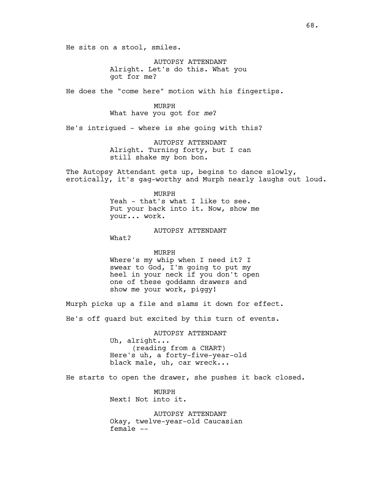He sits on a stool, smiles.

AUTOPSY ATTENDANT Alright. Let's do this. What you got for me?

He does the "come here" motion with his fingertips.

MURPH

What have you got for *me*?

He's intrigued - where is she going with this?

AUTOPSY ATTENDANT Alright. Turning forty, but I can still shake my bon bon.

The Autopsy Attendant gets up, begins to dance slowly, erotically, it's gag-worthy and Murph nearly laughs out loud.

> MURPH Yeah - that's what I like to see. Put your back into it. Now, show me your... work.

> > AUTOPSY ATTENDANT

What?

MURPH Where's my whip when I need it? I swear to God, I'm going to put my heel in your neck if you don't open one of these goddamn drawers and show me your work, piggy!

Murph picks up a file and slams it down for effect.

He's off guard but excited by this turn of events.

AUTOPSY ATTENDANT Uh, alright... (reading from a CHART) Here's uh, a forty-five-year-old black male, uh, car wreck...

He starts to open the drawer, she pushes it back closed.

MURPH Next! Not into it.

AUTOPSY ATTENDANT Okay, twelve-year-old Caucasian female --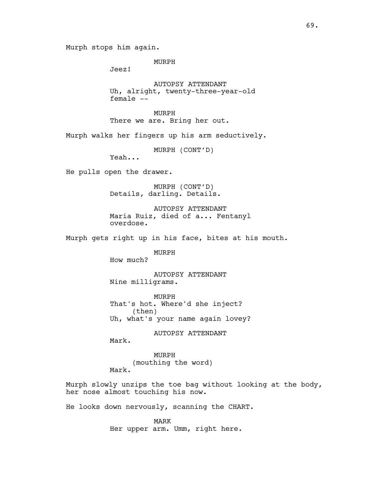Murph stops him again.

MURPH

Jeez!

AUTOPSY ATTENDANT Uh, alright, twenty-three-year-old female --

MURPH There we are. Bring her out.

Murph walks her fingers up his arm seductively.

MURPH (CONT'D)

Yeah...

He pulls open the drawer.

MURPH (CONT'D) Details, darling. Details.

AUTOPSY ATTENDANT Maria Ruiz, died of a... Fentanyl overdose.

Murph gets right up in his face, bites at his mouth.

MURPH

How much?

AUTOPSY ATTENDANT Nine milligrams.

MURPH That's hot. Where'd she inject? (then) Uh, what's your name again lovey?

AUTOPSY ATTENDANT

Mark.

MURPH (mouthing the word) Mark.

Murph slowly unzips the toe bag without looking at the body, her nose almost touching his now.

He looks down nervously, scanning the CHART.

MARK Her upper arm. Umm, right here.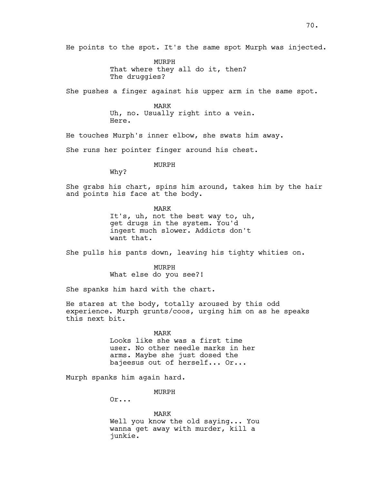He points to the spot. It's the same spot Murph was injected.

MURPH That where they all do it, then? The druggies?

She pushes a finger against his upper arm in the same spot.

MARK Uh, no. Usually right into a vein. Here.

He touches Murph's inner elbow, she swats him away.

She runs her pointer finger around his chest.

MURPH

Why?

She grabs his chart, spins him around, takes him by the hair and points his face at the body.

> MARK It's, uh, not the best way to, uh, get drugs in the system. You'd ingest much slower. Addicts don't want that.

She pulls his pants down, leaving his tighty whities on.

MURPH What else do you see?!

She spanks him hard with the chart.

He stares at the body, totally aroused by this odd experience. Murph grunts/coos, urging him on as he speaks this next bit.

> MARK Looks like she was a first time user. No other needle marks in her arms. Maybe she just dosed the bajeesus out of herself... Or...

Murph spanks him again hard.

MURPH

Or...

MARK Well you know the old saying... You wanna get away with murder, kill a junkie.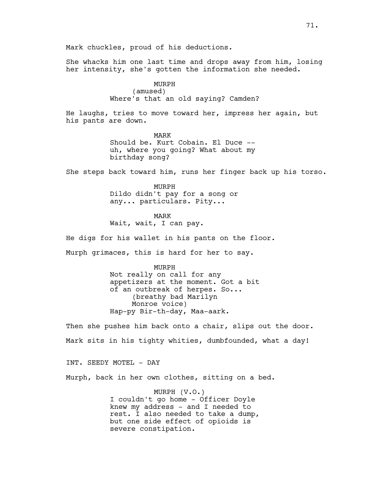Mark chuckles, proud of his deductions.

She whacks him one last time and drops away from him, losing her intensity, she's gotten the information she needed.

> MURPH (amused) Where's that an old saying? Camden?

He laughs, tries to move toward her, impress her again, but his pants are down.

> MARK Should be. Kurt Cobain. El Duce - uh, where you going? What about my birthday song?

She steps back toward him, runs her finger back up his torso.

MURPH Dildo didn't pay for a song or any... particulars. Pity...

MARK Wait, wait, I can pay.

He digs for his wallet in his pants on the floor.

Murph grimaces, this is hard for her to say.

MURPH Not really on call for any appetizers at the moment. Got a bit of an outbreak of herpes. So... (breathy bad Marilyn Monroe voice) Hap-py Bir-th-day, Maa-aark.

Then she pushes him back onto a chair, slips out the door. Mark sits in his tighty whities, dumbfounded, what a day!

INT. SEEDY MOTEL - DAY

Murph, back in her own clothes, sitting on a bed.

MURPH (V.O.) I couldn't go home - Officer Doyle knew my address - and I needed to rest. I also needed to take a dump, but one side effect of opioids is severe constipation.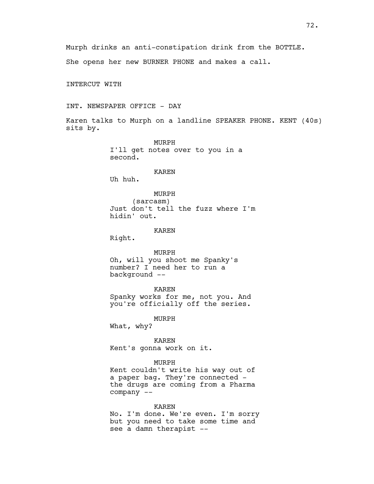72.

Murph drinks an anti-constipation drink from the BOTTLE. She opens her new BURNER PHONE and makes a call.

INTERCUT WITH

INT. NEWSPAPER OFFICE - DAY

Karen talks to Murph on a landline SPEAKER PHONE. KENT (40s) sits by.

> MURPH I'll get notes over to you in a second.

> > KAREN

Uh huh.

MURPH

(sarcasm) Just don't tell the fuzz where I'm hidin' out.

KAREN

Right.

MURPH Oh, will you shoot me Spanky's number? I need her to run a background --

KAREN Spanky works for me, not you. And you're officially off the series.

MURPH What, why?

KAREN Kent's gonna work on it.

## MURPH

Kent couldn't write his way out of a paper bag. They're connected the drugs are coming from a Pharma company --

#### KAREN

No. I'm done. We're even. I'm sorry but you need to take some time and see a damn therapist --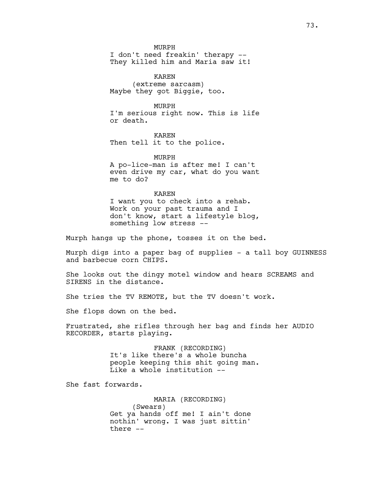MURPH

73.

I don't need freakin' therapy -- They killed him and Maria saw it!

KAREN (extreme sarcasm) Maybe they got Biggie, too.

MURPH

I'm serious right now. This is life or death.

KAREN Then tell it to the police.

MURPH A po-lice-man is after me! I can't even drive my car, what do you want me to do?

KAREN

I want you to check into a rehab. Work on your past trauma and I don't know, start a lifestyle blog, something low stress --

Murph hangs up the phone, tosses it on the bed.

Murph digs into a paper bag of supplies - a tall boy GUINNESS and barbecue corn CHIPS.

She looks out the dingy motel window and hears SCREAMS and SIRENS in the distance.

She tries the TV REMOTE, but the TV doesn't work.

She flops down on the bed.

Frustrated, she rifles through her bag and finds her AUDIO RECORDER, starts playing.

> FRANK (RECORDING) It's like there's a whole buncha people keeping this shit going man. Like a whole institution --

She fast forwards.

MARIA (RECORDING) (Swears) Get ya hands off me! I ain't done nothin' wrong. I was just sittin' there --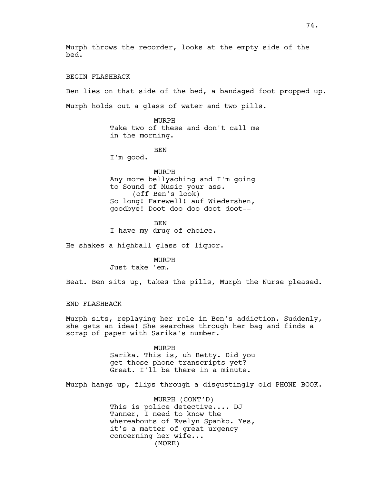Murph throws the recorder, looks at the empty side of the bed. BEGIN FLASHBACK Ben lies on that side of the bed, a bandaged foot propped up. Murph holds out a glass of water and two pills. MURPH Take two of these and don't call me in the morning. BEN I'm good. MURPH Any more bellyaching and I'm going to Sound of Music your ass. (off Ben's look) So long! Farewell! auf Wiedershen, goodbye! Doot doo doo doot doot-- BEN I have my drug of choice. He shakes a highball glass of liquor. MURPH Just take 'em. Beat. Ben sits up, takes the pills, Murph the Nurse pleased. END FLASHBACK Murph sits, replaying her role in Ben's addiction. Suddenly, she gets an idea! She searches through her bag and finds a scrap of paper with Sarika's number.

MURPH Sarika. This is, uh Betty. Did you get those phone transcripts yet? Great. I'll be there in a minute.

Murph hangs up, flips through a disgustingly old PHONE BOOK.

(MORE) MURPH (CONT'D) This is police detective.... DJ Tanner, I need to know the whereabouts of Evelyn Spanko. Yes, it's a matter of great urgency concerning her wife...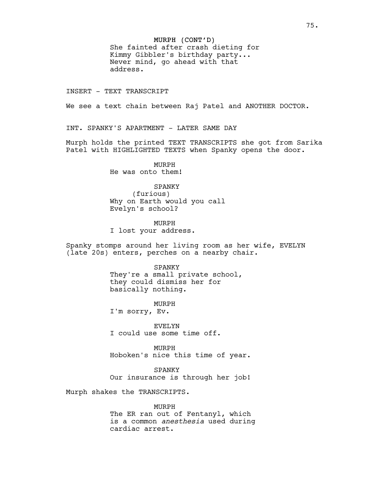# MURPH (CONT'D)

She fainted after crash dieting for Kimmy Gibbler's birthday party... Never mind, go ahead with that address.

INSERT - TEXT TRANSCRIPT

We see a text chain between Raj Patel and ANOTHER DOCTOR.

INT. SPANKY'S APARTMENT - LATER SAME DAY

Murph holds the printed TEXT TRANSCRIPTS she got from Sarika Patel with HIGHLIGHTED TEXTS when Spanky opens the door.

> MURPH He was onto them!

### SPANKY

(furious) Why on Earth would you call Evelyn's school?

MURPH I lost your address.

Spanky stomps around her living room as her wife, EVELYN (late 20s) enters, perches on a nearby chair.

# SPANKY They're a small private school, they could dismiss her for basically nothing.

MURPH I'm sorry, Ev.

EVELYN I could use some time off.

MURPH Hoboken's nice this time of year.

SPANKY Our insurance is through her job!

Murph shakes the TRANSCRIPTS.

# MURPH

The ER ran out of Fentanyl, which is a common *anesthesia* used during cardiac arrest.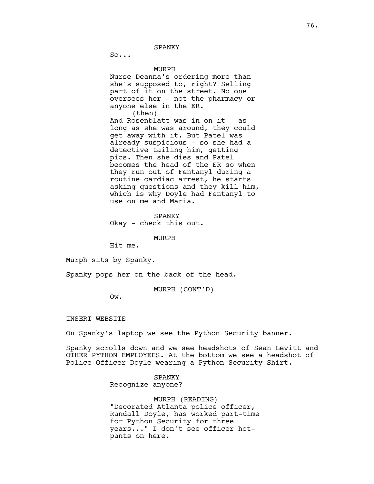SPANKY

 $S_0 \ldots$ 

MURPH

Nurse Deanna's ordering more than she's supposed to, right? Selling part of it on the street. No one oversees her - not the pharmacy or anyone else in the ER. (then)

And Rosenblatt was in on it - as long as she was around, they could get away with it. But Patel was already suspicious - so she had a detective tailing him, getting pics. Then she dies and Patel becomes the head of the ER so when they run out of Fentanyl during a routine cardiac arrest, he starts asking questions and they kill him, which is why Doyle had Fentanyl to use on me and Maria.

SPANKY Okay - check this out.

MURPH

Hit me.

Murph sits by Spanky.

Spanky pops her on the back of the head.

MURPH (CONT'D)

Ow.

INSERT WEBSITE

On Spanky's laptop we see the Python Security banner.

Spanky scrolls down and we see headshots of Sean Levitt and OTHER PYTHON EMPLOYEES. At the bottom we see a headshot of Police Officer Doyle wearing a Python Security Shirt.

## SPANKY

Recognize anyone?

MURPH (READING) "Decorated Atlanta police officer, Randall Doyle, has worked part-time for Python Security for three years..." I don't see officer hotpants on here.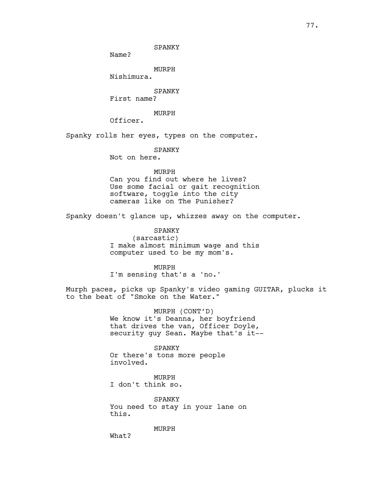77.

SPANKY

Name?

MURPH

Nishimura.

SPANKY

First name?

MURPH

Officer.

Spanky rolls her eyes, types on the computer.

SPANKY

Not on here.

## MURPH

Can you find out where he lives? Use some facial or gait recognition software, toggle into the city cameras like on The Punisher?

Spanky doesn't glance up, whizzes away on the computer.

SPANKY

(sarcastic) I make almost minimum wage and this computer used to be my mom's.

MURPH

I'm sensing that's a 'no.'

Murph paces, picks up Spanky's video gaming GUITAR, plucks it to the beat of "Smoke on the Water."

> MURPH (CONT'D) We know it's Deanna, her boyfriend that drives the van, Officer Doyle, security guy Sean. Maybe that's it--

> > SPANKY

Or there's tons more people involved.

MURPH I don't think so.

SPANKY You need to stay in your lane on this.

MURPH

What?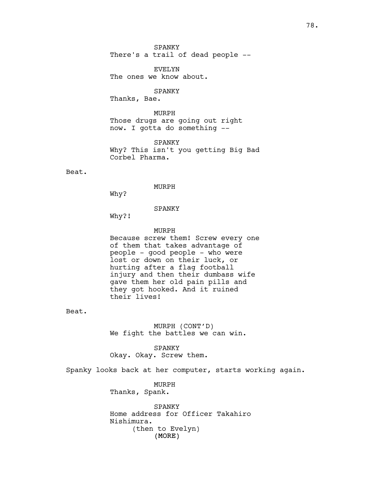SPANKY There's a trail of dead people --

EVELYN The ones we know about.

SPANKY

Thanks, Bae.

MURPH Those drugs are going out right now. I gotta do something --

SPANKY Why? This isn't you getting Big Bad Corbel Pharma.

Beat.

MURPH

Why?

SPANKY

Why?!

MURPH

Because screw them! Screw every one of them that takes advantage of people - good people - who were lost or down on their luck, or hurting after a flag football injury and then their dumbass wife gave them her old pain pills and they got hooked. And it ruined their lives!

Beat.

MURPH (CONT'D) We fight the battles we can win.

SPANKY Okay. Okay. Screw them.

Spanky looks back at her computer, starts working again.

MURPH Thanks, Spank.

(MORE) SPANKY Home address for Officer Takahiro Nishimura. (then to Evelyn)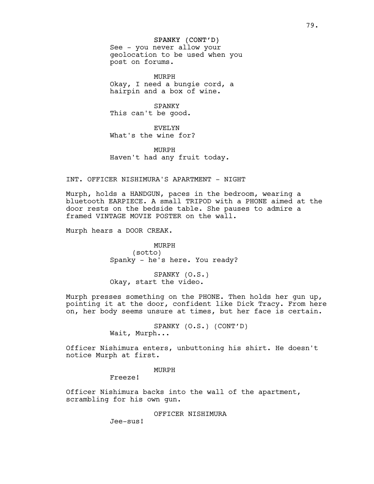### SPANKY (CONT'D)

See - you never allow your geolocation to be used when you post on forums.

MURPH Okay, I need a bungie cord, a hairpin and a box of wine.

SPANKY This can't be good.

EVELYN What's the wine for?

MURPH Haven't had any fruit today.

#### INT. OFFICER NISHIMURA'S APARTMENT - NIGHT

Murph, holds a HANDGUN, paces in the bedroom, wearing a bluetooth EARPIECE. A small TRIPOD with a PHONE aimed at the door rests on the bedside table. She pauses to admire a framed VINTAGE MOVIE POSTER on the wall.

Murph hears a DOOR CREAK.

MURPH (sotto) Spanky - he's here. You ready?

SPANKY (O.S.) Okay, start the video.

Murph presses something on the PHONE. Then holds her gun up, pointing it at the door, confident like Dick Tracy. From here on, her body seems unsure at times, but her face is certain.

> SPANKY (O.S.) (CONT'D) Wait, Murph...

Officer Nishimura enters, unbuttoning his shirt. He doesn't notice Murph at first.

MURPH

Freeze!

Officer Nishimura backs into the wall of the apartment, scrambling for his own gun.

OFFICER NISHIMURA

Jee-sus!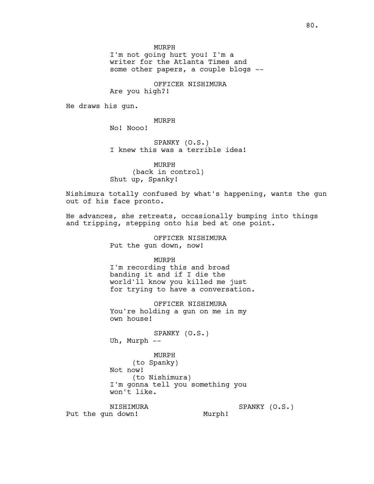MURPH

I'm not going hurt you! I'm a writer for the Atlanta Times and some other papers, a couple blogs --

OFFICER NISHIMURA Are you high?!

He draws his gun.

MURPH

No! Nooo!

SPANKY (O.S.) I knew this was a terrible idea!

MURPH (back in control) Shut up, Spanky!

Nishimura totally confused by what's happening, wants the gun out of his face pronto.

He advances, she retreats, occasionally bumping into things and tripping, stepping onto his bed at one point.

> OFFICER NISHIMURA Put the gun down, now!

> > MURPH

I'm recording this and broad banding it and if I die the world'll know you killed me just for trying to have a conversation.

OFFICER NISHIMURA You're holding a gun on me in my own house!

SPANKY (O.S.) Uh, Murph --

MURPH (to Spanky) Not now! (to Nishimura) I'm gonna tell you something you won't like.

NISHIMURA Put the gun down!

SPANKY (O.S.) Murph!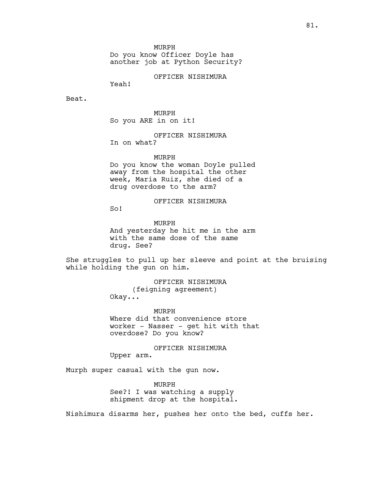MURPH

Do you know Officer Doyle has another job at Python Security?

OFFICER NISHIMURA

Yeah!

Beat.

MURPH So you ARE in on it!

OFFICER NISHIMURA In on what?

MURPH

Do you know the woman Doyle pulled away from the hospital the other week, Maria Ruiz, she died of a drug overdose to the arm?

OFFICER NISHIMURA

So!

MURPH And yesterday he hit me in the arm with the same dose of the same drug. See?

She struggles to pull up her sleeve and point at the bruising while holding the gun on him.

> OFFICER NISHIMURA (feigning agreement) Okay...

MURPH Where did that convenience store worker - Nasser - get hit with that overdose? Do you know?

OFFICER NISHIMURA

Upper arm.

Murph super casual with the gun now.

MURPH See?! I was watching a supply shipment drop at the hospital.

Nishimura disarms her, pushes her onto the bed, cuffs her.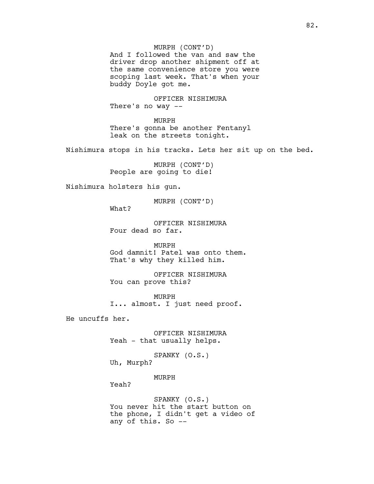And I followed the van and saw the driver drop another shipment off at the same convenience store you were scoping last week. That's when your buddy Doyle got me.

OFFICER NISHIMURA There's no way --

MURPH There's gonna be another Fentanyl leak on the streets tonight.

Nishimura stops in his tracks. Lets her sit up on the bed.

MURPH (CONT'D) People are going to die!

Nishimura holsters his gun.

MURPH (CONT'D)

What?

OFFICER NISHIMURA Four dead so far.

MURPH God damnit! Patel was onto them. That's why they killed him.

OFFICER NISHIMURA You can prove this?

MURPH I... almost. I just need proof.

He uncuffs her.

OFFICER NISHIMURA Yeah - that usually helps.

SPANKY (O.S.) Uh, Murph?

MURPH

Yeah?

SPANKY (O.S.) You never hit the start button on the phone, I didn't get a video of any of this. So --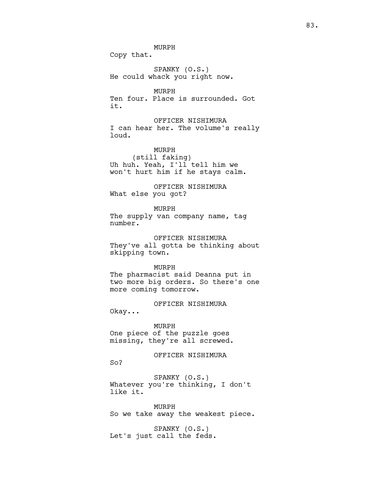MURPH

Copy that.

SPANKY (O.S.) He could whack you right now.

MURPH Ten four. Place is surrounded. Got it.

OFFICER NISHIMURA I can hear her. The volume's really loud.

MURPH (still faking) Uh huh. Yeah, I'll tell him we won't hurt him if he stays calm.

OFFICER NISHIMURA What else you got?

MURPH

The supply van company name, tag number.

OFFICER NISHIMURA They've all gotta be thinking about skipping town.

MURPH

The pharmacist said Deanna put in two more big orders. So there's one more coming tomorrow.

OFFICER NISHIMURA

Okay...

## MURPH

One piece of the puzzle goes missing, they're all screwed.

OFFICER NISHIMURA

So?

SPANKY (O.S.) Whatever you're thinking, I don't like it.

MURPH So we take away the weakest piece.

SPANKY (O.S.) Let's just call the feds.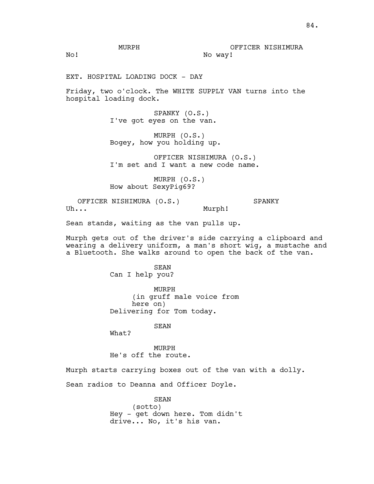No!

EXT. HOSPITAL LOADING DOCK - DAY

Friday, two o'clock. The WHITE SUPPLY VAN turns into the hospital loading dock.

> SPANKY (O.S.) I've got eyes on the van.

MURPH (O.S.) Bogey, how you holding up.

OFFICER NISHIMURA (O.S.) I'm set and I want a new code name.

MURPH (O.S.) How about SexyPig69?

OFFICER NISHIMURA (O.S.) Uh... SPANKY Murph!

Sean stands, waiting as the van pulls up.

Murph gets out of the driver's side carrying a clipboard and wearing a delivery uniform, a man's short wig, a mustache and a Bluetooth. She walks around to open the back of the van.

> SEAN Can I help you?

MURPH (in gruff male voice from here on) Delivering for Tom today.

SEAN

What?

MURPH He's off the route.

Murph starts carrying boxes out of the van with a dolly.

Sean radios to Deanna and Officer Doyle.

SEAN (sotto) Hey - get down here. Tom didn't drive... No, it's his van.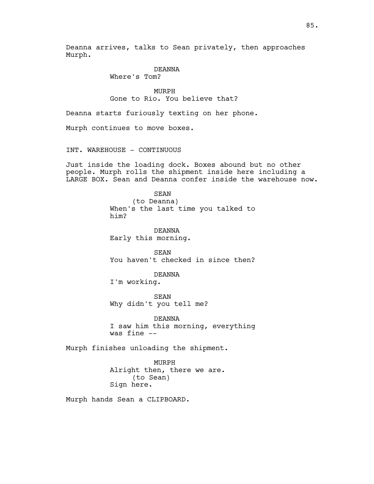Deanna arrives, talks to Sean privately, then approaches Murph.

## DEANNA

Where's Tom?

MURPH Gone to Rio. You believe that?

Deanna starts furiously texting on her phone.

Murph continues to move boxes.

INT. WAREHOUSE - CONTINUOUS

Just inside the loading dock. Boxes abound but no other people. Murph rolls the shipment inside here including a LARGE BOX. Sean and Deanna confer inside the warehouse now.

> SEAN (to Deanna) When's the last time you talked to him?

DEANNA Early this morning.

SEAN You haven't checked in since then?

DEANNA

I'm working.

SEAN Why didn't you tell me?

DEANNA I saw him this morning, everything was fine --

Murph finishes unloading the shipment.

MURPH Alright then, there we are. (to Sean) Sign here.

Murph hands Sean a CLIPBOARD.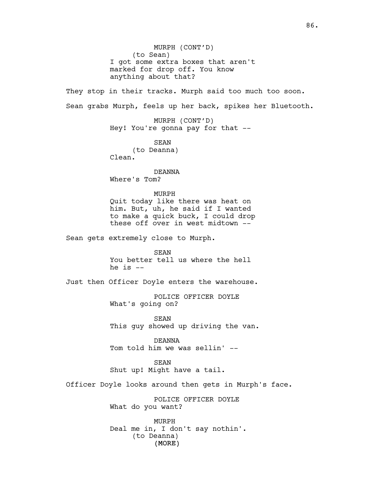(MORE) MURPH (CONT'D) (to Sean) I got some extra boxes that aren't marked for drop off. You know anything about that? They stop in their tracks. Murph said too much too soon. Sean grabs Murph, feels up her back, spikes her Bluetooth. MURPH (CONT'D) Hey! You're gonna pay for that -- SEAN (to Deanna) Clean. DEANNA Where's Tom? MURPH Quit today like there was heat on him. But, uh, he said if I wanted to make a quick buck, I could drop these off over in west midtown -- Sean gets extremely close to Murph. SEAN You better tell us where the hell he is  $-$ Just then Officer Doyle enters the warehouse. POLICE OFFICER DOYLE What's going on? SEAN This guy showed up driving the van. DEANNA Tom told him we was sellin' -- SEAN Shut up! Might have a tail. Officer Doyle looks around then gets in Murph's face. POLICE OFFICER DOYLE What do you want? MURPH Deal me in, I don't say nothin'. (to Deanna)

86.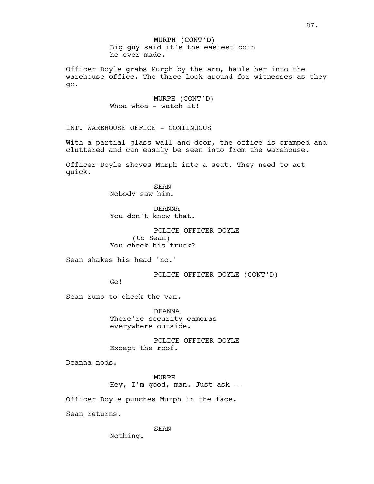# MURPH (CONT'D) Big guy said it's the easiest coin

he ever made.

Officer Doyle grabs Murph by the arm, hauls her into the warehouse office. The three look around for witnesses as they go.

> MURPH (CONT'D) Whoa whoa - watch it!

INT. WAREHOUSE OFFICE - CONTINUOUS

With a partial glass wall and door, the office is cramped and cluttered and can easily be seen into from the warehouse.

Officer Doyle shoves Murph into a seat. They need to act quick.

> SEAN Nobody saw him.

DEANNA You don't know that.

POLICE OFFICER DOYLE (to Sean) You check his truck?

Sean shakes his head 'no.'

POLICE OFFICER DOYLE (CONT'D)

Go!

Sean runs to check the van.

DEANNA There're security cameras everywhere outside.

POLICE OFFICER DOYLE Except the roof.

Deanna nods.

MURPH Hey, I'm good, man. Just ask --

Officer Doyle punches Murph in the face.

Sean returns.

SEAN

Nothing.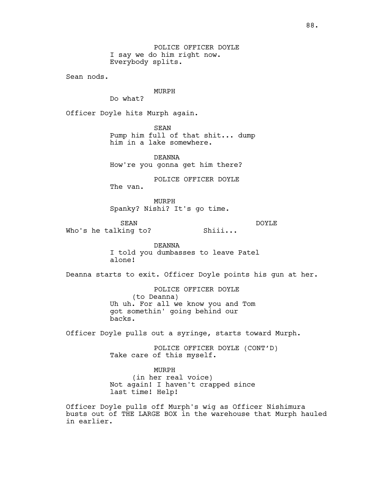POLICE OFFICER DOYLE I say we do him right now. Everybody splits.

Sean nods.

# MURPH

Do what?

Officer Doyle hits Murph again.

SEAN

Pump him full of that shit... dump him in a lake somewhere.

DEANNA How're you gonna get him there?

POLICE OFFICER DOYLE

The van.

MURPH Spanky? Nishi? It's go time.

SEAN Who's he talking to? Shiii...

> DEANNA I told you dumbasses to leave Patel

DOYLE

alone!

Deanna starts to exit. Officer Doyle points his gun at her.

POLICE OFFICER DOYLE (to Deanna) Uh uh. For all we know you and Tom got somethin' going behind our backs.

Officer Doyle pulls out a syringe, starts toward Murph.

POLICE OFFICER DOYLE (CONT'D) Take care of this myself.

MURPH (in her real voice) Not again! I haven't crapped since last time! Help!

Officer Doyle pulls off Murph's wig as Officer Nishimura busts out of THE LARGE BOX in the warehouse that Murph hauled in earlier.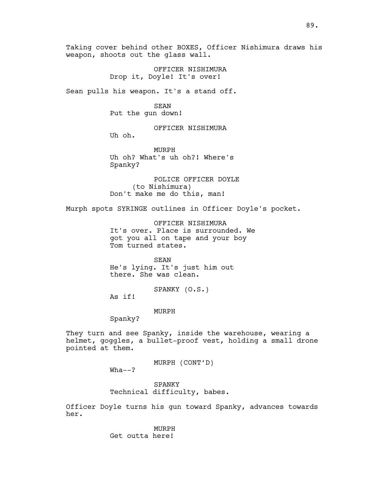Taking cover behind other BOXES, Officer Nishimura draws his weapon, shoots out the glass wall.

> OFFICER NISHIMURA Drop it, Doyle! It's over!

Sean pulls his weapon. It's a stand off.

SEAN Put the gun down!

OFFICER NISHIMURA

Uh oh.

MURPH Uh oh? What's uh oh?! Where's Spanky?

POLICE OFFICER DOYLE (to Nishimura) Don't make me do this, man!

Murph spots SYRINGE outlines in Officer Doyle's pocket.

OFFICER NISHIMURA It's over. Place is surrounded. We got you all on tape and your boy Tom turned states.

SEAN He's lying. It's just him out there. She was clean.

SPANKY (O.S.)

As if!

MURPH

Spanky?

They turn and see Spanky, inside the warehouse, wearing a helmet, goggles, a bullet-proof vest, holding a small drone pointed at them.

MURPH (CONT'D)

 $Wha--?$ 

SPANKY Technical difficulty, babes.

Officer Doyle turns his gun toward Spanky, advances towards her.

> MURPH Get outta here!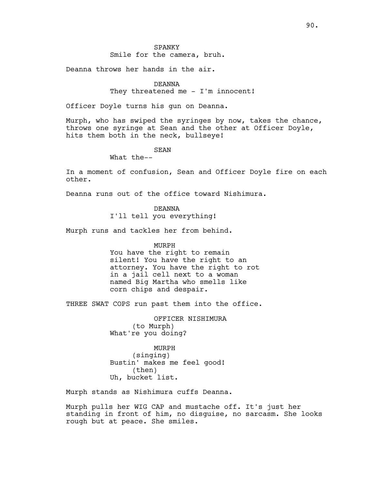## SPANKY Smile for the camera, bruh.

Deanna throws her hands in the air.

# DEANNA

They threatened me - I'm innocent!

Officer Doyle turns his gun on Deanna.

Murph, who has swiped the syringes by now, takes the chance, throws one syringe at Sean and the other at Officer Doyle, hits them both in the neck, bullseye!

SEAN

What the--

In a moment of confusion, Sean and Officer Doyle fire on each other.

Deanna runs out of the office toward Nishimura.

DEANNA

I'll tell you everything!

Murph runs and tackles her from behind.

MURPH

You have the right to remain silent! You have the right to an attorney. You have the right to rot in a jail cell next to a woman named Big Martha who smells like corn chips and despair.

THREE SWAT COPS run past them into the office.

OFFICER NISHIMURA (to Murph) What're you doing?

MURPH (singing) Bustin' makes me feel good! (then) Uh, bucket list.

Murph stands as Nishimura cuffs Deanna.

Murph pulls her WIG CAP and mustache off. It's just her standing in front of him, no disguise, no sarcasm. She looks rough but at peace. She smiles.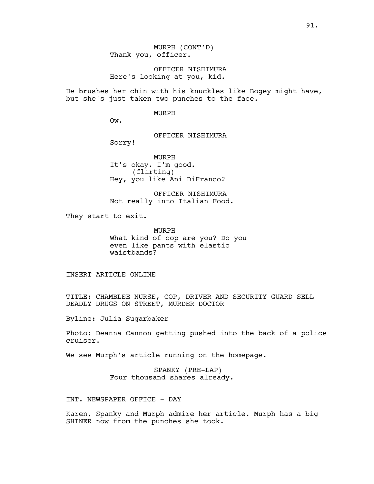OFFICER NISHIMURA Here's looking at you, kid.

He brushes her chin with his knuckles like Bogey might have, but she's just taken two punches to the face.

#### MURPH

Ow.

OFFICER NISHIMURA

Sorry!

MURPH It's okay. I'm good. (flirting) Hey, you like Ani DiFranco?

OFFICER NISHIMURA Not really into Italian Food.

They start to exit.

MURPH What kind of cop are you? Do you even like pants with elastic waistbands?

INSERT ARTICLE ONLINE

TITLE: CHAMBLEE NURSE, COP, DRIVER AND SECURITY GUARD SELL DEADLY DRUGS ON STREET, MURDER DOCTOR

Byline: Julia Sugarbaker

Photo: Deanna Cannon getting pushed into the back of a police cruiser.

We see Murph's article running on the homepage.

SPANKY (PRE-LAP) Four thousand shares already.

INT. NEWSPAPER OFFICE - DAY

Karen, Spanky and Murph admire her article. Murph has a big SHINER now from the punches she took.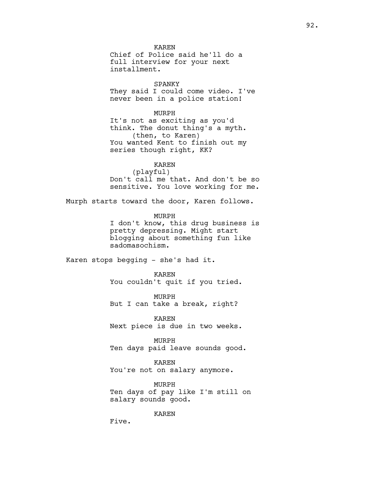KAREN Chief of Police said he'll do a full interview for your next installment.

SPANKY They said I could come video. I've never been in a police station!

MURPH It's not as exciting as you'd think. The donut thing's a myth. (then, to Karen) You wanted Kent to finish out my series though right, KK?

> KAREN (playful)

Don't call me that. And don't be so sensitive. You love working for me.

Murph starts toward the door, Karen follows.

MURPH I don't know, this drug business is pretty depressing. Might start blogging about something fun like sadomasochism.

Karen stops begging - she's had it.

KAREN You couldn't quit if you tried.

MURPH But I can take a break, right?

KAREN Next piece is due in two weeks.

MURPH Ten days paid leave sounds good.

KAREN You're not on salary anymore.

MURPH Ten days of pay like I'm still on salary sounds good.

KAREN

Five.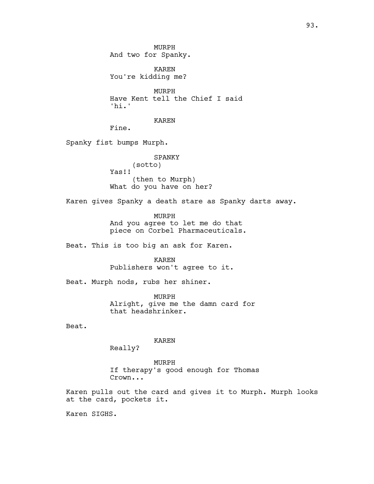MURPH And two for Spanky.

KAREN You're kidding me?

MURPH Have Kent tell the Chief I said 'hi.'

KAREN

Fine.

Spanky fist bumps Murph.

SPANKY (sotto) Yas!! (then to Murph) What do you have on her?

Karen gives Spanky a death stare as Spanky darts away.

MURPH And you agree to let me do that piece on Corbel Pharmaceuticals.

Beat. This is too big an ask for Karen.

KAREN Publishers won't agree to it.

Beat. Murph nods, rubs her shiner.

MURPH Alright, give me the damn card for that headshrinker.

Beat.

KAREN

Really?

MURPH If therapy's good enough for Thomas Crown...

Karen pulls out the card and gives it to Murph. Murph looks at the card, pockets it.

Karen SIGHS.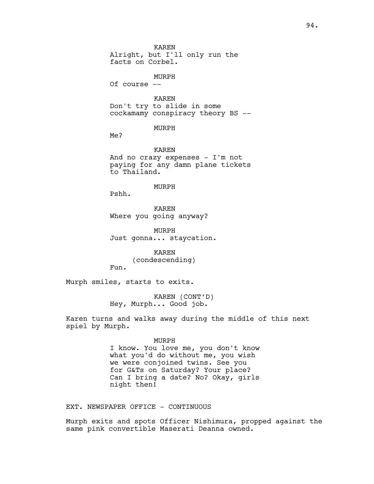KAREN Alright, but I'll only run the facts on Corbel. MURPH Of course -- KAREN Don't try to slide in some cockamamy conspiracy theory BS -- MURPH Me? KAREN And no crazy expenses - I'm not paying for any damn plane tickets to Thailand.

MURPH

Pshh.

KAREN Where you going anyway?

MURPH Just gonna... staycation.

KAREN (condescending) Fun.

Murph smiles, starts to exits.

KAREN (CONT'D) Hey, Murph... Good job.

Karen turns and walks away during the middle of this next spiel by Murph.

MURPH

I know. You love me, you don't know what you'd do without me, you wish we were conjoined twins. See you for G&Ts on Saturday? Your place? Can I bring a date? No? Okay, girls night then!

EXT. NEWSPAPER OFFICE - CONTINUOUS

Murph exits and spots Officer Nishimura, propped against the same pink convertible Maserati Deanna owned.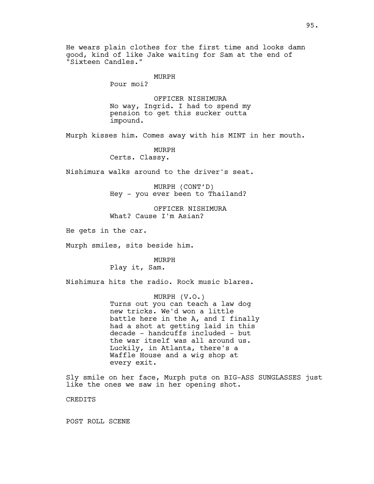He wears plain clothes for the first time and looks damn good, kind of like Jake waiting for Sam at the end of "Sixteen Candles."

### MURPH

Pour moi?

OFFICER NISHIMURA No way, Ingrid. I had to spend my pension to get this sucker outta impound.

Murph kisses him. Comes away with his MINT in her mouth.

MURPH

Certs. Classy.

Nishimura walks around to the driver's seat.

MURPH (CONT'D) Hey - you ever been to Thailand?

OFFICER NISHIMURA What? Cause I'm Asian?

He gets in the car.

Murph smiles, sits beside him.

MURPH Play it, Sam.

Nishimura hits the radio. Rock music blares.

MURPH (V.O.) Turns out you can teach a law dog new tricks. We'd won a little battle here in the A, and I finally had a shot at getting laid in this decade - handcuffs included - but the war itself was all around us. Luckily, in Atlanta, there's a Waffle House and a wig shop at every exit.

Sly smile on her face, Murph puts on BIG-ASS SUNGLASSES just like the ones we saw in her opening shot.

CREDITS

POST ROLL SCENE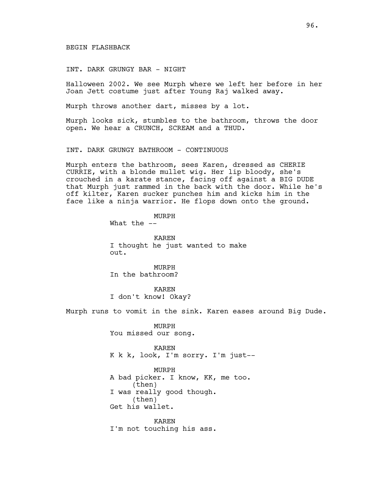## BEGIN FLASHBACK

INT. DARK GRUNGY BAR - NIGHT

Halloween 2002. We see Murph where we left her before in her Joan Jett costume just after Young Raj walked away.

Murph throws another dart, misses by a lot.

Murph looks sick, stumbles to the bathroom, throws the door open. We hear a CRUNCH, SCREAM and a THUD.

INT. DARK GRUNGY BATHROOM - CONTINUOUS

Murph enters the bathroom, sees Karen, dressed as CHERIE CURRIE, with a blonde mullet wig. Her lip bloody, she's crouched in a karate stance, facing off against a BIG DUDE that Murph just rammed in the back with the door. While he's off kilter, Karen sucker punches him and kicks him in the face like a ninja warrior. He flops down onto the ground.

> MURPH What the  $--$

KAREN I thought he just wanted to make out.

MURPH In the bathroom?

KAREN I don't know! Okay?

Murph runs to vomit in the sink. Karen eases around Big Dude.

MURPH You missed our song.

KAREN K k k, look, I'm sorry. I'm just--

MURPH A bad picker. I know, KK, me too. (then) I was really good though. (then) Get his wallet.

KAREN I'm not touching his ass.